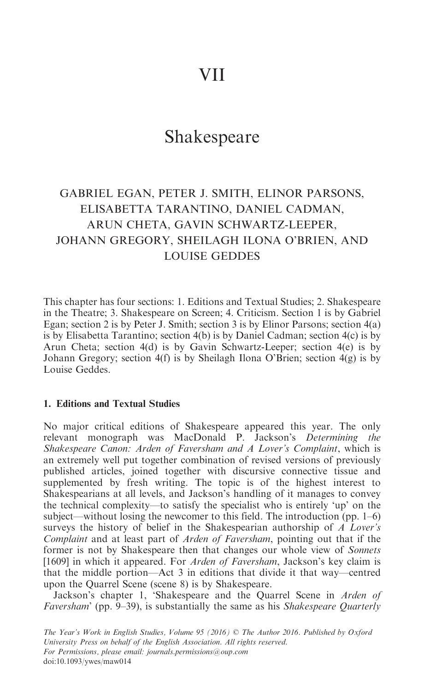# VII

## Shakespeare

### GABRIEL EGAN, PETER J. SMITH, ELINOR PARSONS, ELISABETTA TARANTINO, DANIEL CADMAN, ARUN CHETA, GAVIN SCHWARTZ-LEEPER, JOHANN GREGORY, SHEILAGH ILONA O'BRIEN, AND LOUISE GEDDES

This chapter has four sections: 1. Editions and Textual Studies; 2. Shakespeare in the Theatre; 3. Shakespeare on Screen; 4. Criticism. Section 1 is by Gabriel Egan; section 2 is by Peter J. Smith; section 3 is by Elinor Parsons; section 4(a) is by Elisabetta Tarantino; section 4(b) is by Daniel Cadman; section 4(c) is by Arun Cheta; section 4(d) is by Gavin Schwartz-Leeper; section 4(e) is by Johann Gregory; section  $4(f)$  is by Sheilagh Ilona O'Brien; section  $4(g)$  is by Louise Geddes.

#### 1. Editions and Textual Studies

No major critical editions of Shakespeare appeared this year. The only relevant monograph was MacDonald P. Jackson's Determining the Shakespeare Canon: Arden of Faversham and A Lover's Complaint, which is an extremely well put together combination of revised versions of previously published articles, joined together with discursive connective tissue and supplemented by fresh writing. The topic is of the highest interest to Shakespearians at all levels, and Jackson's handling of it manages to convey the technical complexity—to satisfy the specialist who is entirely 'up' on the subject—without losing the newcomer to this field. The introduction (pp. 1–6) surveys the history of belief in the Shakespearian authorship of A Lover's Complaint and at least part of Arden of Faversham, pointing out that if the former is not by Shakespeare then that changes our whole view of Sonnets [1609] in which it appeared. For Arden of Faversham, Jackson's key claim is that the middle portion—Act 3 in editions that divide it that way—centred upon the Quarrel Scene (scene 8) is by Shakespeare.

Jackson's chapter 1, 'Shakespeare and the Quarrel Scene in Arden of Faversham' (pp. 9–39), is substantially the same as his Shakespeare Quarterly

The Year's Work in English Studies, Volume 95 (2016)  $\odot$  The Author 2016. Published by Oxford University Press on behalf of the English Association. All rights reserved. For Permissions, please email: journals.permissions@oup.com doi:10.1093/ywes/maw014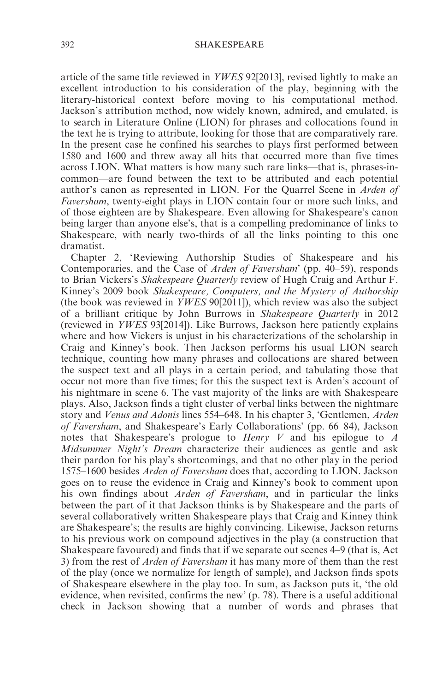article of the same title reviewed in YWES 92[2013], revised lightly to make an excellent introduction to his consideration of the play, beginning with the literary-historical context before moving to his computational method. Jackson's attribution method, now widely known, admired, and emulated, is to search in Literature Online (LION) for phrases and collocations found in the text he is trying to attribute, looking for those that are comparatively rare. In the present case he confined his searches to plays first performed between 1580 and 1600 and threw away all hits that occurred more than five times across LION. What matters is how many such rare links—that is, phrases-incommon—are found between the text to be attributed and each potential author's canon as represented in LION. For the Quarrel Scene in Arden of Faversham, twenty-eight plays in LION contain four or more such links, and of those eighteen are by Shakespeare. Even allowing for Shakespeare's canon being larger than anyone else's, that is a compelling predominance of links to Shakespeare, with nearly two-thirds of all the links pointing to this one dramatist.

Chapter 2, 'Reviewing Authorship Studies of Shakespeare and his Contemporaries, and the Case of Arden of Faversham' (pp. 40–59), responds to Brian Vickers's Shakespeare Quarterly review of Hugh Craig and Arthur F. Kinney's 2009 book Shakespeare, Computers, and the Mystery of Authorship (the book was reviewed in  $YWES$  90[2011]), which review was also the subject of a brilliant critique by John Burrows in Shakespeare Quarterly in 2012 (reviewed in YWES 93[2014]). Like Burrows, Jackson here patiently explains where and how Vickers is unjust in his characterizations of the scholarship in Craig and Kinney's book. Then Jackson performs his usual LION search technique, counting how many phrases and collocations are shared between the suspect text and all plays in a certain period, and tabulating those that occur not more than five times; for this the suspect text is Arden's account of his nightmare in scene 6. The vast majority of the links are with Shakespeare plays. Also, Jackson finds a tight cluster of verbal links between the nightmare story and Venus and Adonis lines 554–648. In his chapter 3, 'Gentlemen, Arden of Faversham, and Shakespeare's Early Collaborations' (pp. 66–84), Jackson notes that Shakespeare's prologue to Henry V and his epilogue to A Midsummer Night's Dream characterize their audiences as gentle and ask their pardon for his play's shortcomings, and that no other play in the period 1575–1600 besides *Arden of Faversham* does that, according to LION. Jackson goes on to reuse the evidence in Craig and Kinney's book to comment upon his own findings about *Arden of Faversham*, and in particular the links between the part of it that Jackson thinks is by Shakespeare and the parts of several collaboratively written Shakespeare plays that Craig and Kinney think are Shakespeare's; the results are highly convincing. Likewise, Jackson returns to his previous work on compound adjectives in the play (a construction that Shakespeare favoured) and finds that if we separate out scenes 4–9 (that is, Act 3) from the rest of Arden of Faversham it has many more of them than the rest of the play (once we normalize for length of sample), and Jackson finds spots of Shakespeare elsewhere in the play too. In sum, as Jackson puts it, 'the old evidence, when revisited, confirms the new' (p. 78). There is a useful additional check in Jackson showing that a number of words and phrases that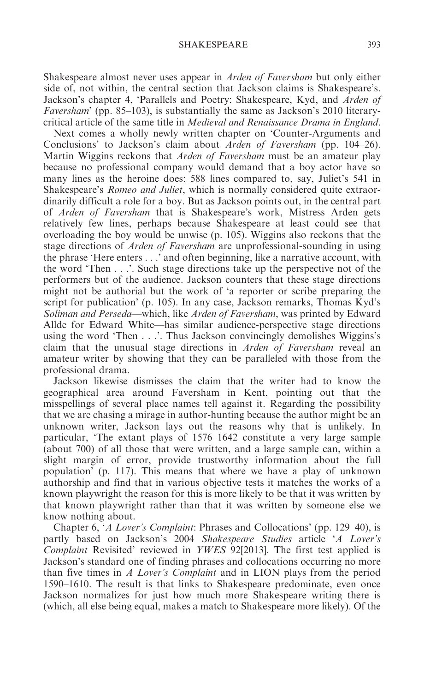Shakespeare almost never uses appear in Arden of Faversham but only either side of, not within, the central section that Jackson claims is Shakespeare's. Jackson's chapter 4, 'Parallels and Poetry: Shakespeare, Kyd, and Arden of Faversham' (pp. 85–103), is substantially the same as Jackson's 2010 literarycritical article of the same title in Medieval and Renaissance Drama in England.

Next comes a wholly newly written chapter on 'Counter-Arguments and Conclusions' to Jackson's claim about Arden of Faversham (pp. 104–26). Martin Wiggins reckons that *Arden of Faversham* must be an amateur play because no professional company would demand that a boy actor have so many lines as the heroine does: 588 lines compared to, say, Juliet's 541 in Shakespeare's Romeo and Juliet, which is normally considered quite extraordinarily difficult a role for a boy. But as Jackson points out, in the central part of Arden of Faversham that is Shakespeare's work, Mistress Arden gets relatively few lines, perhaps because Shakespeare at least could see that overloading the boy would be unwise (p. 105). Wiggins also reckons that the stage directions of *Arden of Faversham* are unprofessional-sounding in using the phrase 'Here enters . . .' and often beginning, like a narrative account, with the word 'Then . . .'. Such stage directions take up the perspective not of the performers but of the audience. Jackson counters that these stage directions might not be authorial but the work of 'a reporter or scribe preparing the script for publication' (p. 105). In any case, Jackson remarks, Thomas Kyd's Soliman and Perseda—which, like Arden of Faversham, was printed by Edward Allde for Edward White—has similar audience-perspective stage directions using the word 'Then . . .'. Thus Jackson convincingly demolishes Wiggins's claim that the unusual stage directions in Arden of Faversham reveal an amateur writer by showing that they can be paralleled with those from the professional drama.

Jackson likewise dismisses the claim that the writer had to know the geographical area around Faversham in Kent, pointing out that the misspellings of several place names tell against it. Regarding the possibility that we are chasing a mirage in author-hunting because the author might be an unknown writer, Jackson lays out the reasons why that is unlikely. In particular, 'The extant plays of 1576–1642 constitute a very large sample (about 700) of all those that were written, and a large sample can, within a slight margin of error, provide trustworthy information about the full population' (p. 117). This means that where we have a play of unknown authorship and find that in various objective tests it matches the works of a known playwright the reason for this is more likely to be that it was written by that known playwright rather than that it was written by someone else we know nothing about.

Chapter 6, 'A Lover's Complaint: Phrases and Collocations' (pp. 129–40), is partly based on Jackson's 2004 Shakespeare Studies article 'A Lover's Complaint Revisited' reviewed in YWES 92[2013]. The first test applied is Jackson's standard one of finding phrases and collocations occurring no more than five times in A Lover's Complaint and in LION plays from the period 1590–1610. The result is that links to Shakespeare predominate, even once Jackson normalizes for just how much more Shakespeare writing there is (which, all else being equal, makes a match to Shakespeare more likely). Of the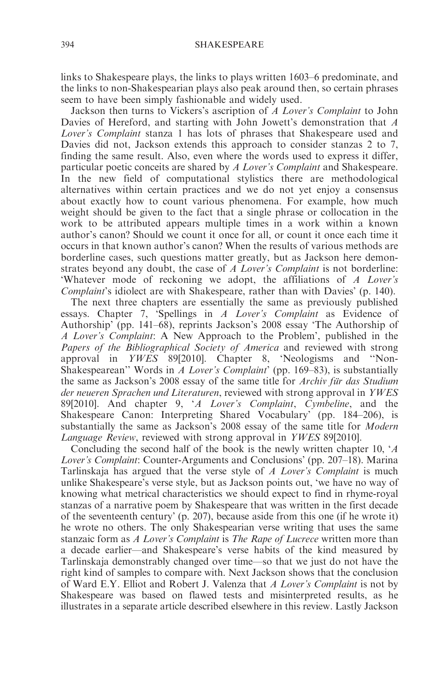links to Shakespeare plays, the links to plays written 1603–6 predominate, and the links to non-Shakespearian plays also peak around then, so certain phrases seem to have been simply fashionable and widely used.

Jackson then turns to Vickers's ascription of A Lover's Complaint to John Davies of Hereford, and starting with John Jowett's demonstration that A Lover's Complaint stanza 1 has lots of phrases that Shakespeare used and Davies did not, Jackson extends this approach to consider stanzas 2 to 7, finding the same result. Also, even where the words used to express it differ, particular poetic conceits are shared by A Lover's Complaint and Shakespeare. In the new field of computational stylistics there are methodological alternatives within certain practices and we do not yet enjoy a consensus about exactly how to count various phenomena. For example, how much weight should be given to the fact that a single phrase or collocation in the work to be attributed appears multiple times in a work within a known author's canon? Should we count it once for all, or count it once each time it occurs in that known author's canon? When the results of various methods are borderline cases, such questions matter greatly, but as Jackson here demonstrates beyond any doubt, the case of A Lover's Complaint is not borderline: 'Whatever mode of reckoning we adopt, the affiliations of A Lover's Complaint's idiolect are with Shakespeare, rather than with Davies' (p. 140).

The next three chapters are essentially the same as previously published essays. Chapter 7, 'Spellings in A Lover's Complaint as Evidence of Authorship' (pp. 141–68), reprints Jackson's 2008 essay 'The Authorship of A Lover's Complaint: A New Approach to the Problem', published in the Papers of the Bibliographical Society of America and reviewed with strong approval in YWES 89[2010]. Chapter 8, 'Neologisms and ''Non-Shakespearean'' Words in A Lover's Complaint' (pp. 169–83), is substantially the same as Jackson's 2008 essay of the same title for *Archiv für das Studium* der neueren Sprachen und Literaturen, reviewed with strong approval in YWES 89[2010]. And chapter 9, 'A Lover's Complaint, Cymbeline, and the Shakespeare Canon: Interpreting Shared Vocabulary' (pp. 184–206), is substantially the same as Jackson's 2008 essay of the same title for Modern Language Review, reviewed with strong approval in YWES 89[2010].

Concluding the second half of the book is the newly written chapter 10, 'A Lover's Complaint: Counter-Arguments and Conclusions' (pp. 207–18). Marina Tarlinskaja has argued that the verse style of A Lover's Complaint is much unlike Shakespeare's verse style, but as Jackson points out, 'we have no way of knowing what metrical characteristics we should expect to find in rhyme-royal stanzas of a narrative poem by Shakespeare that was written in the first decade of the seventeenth century' (p. 207), because aside from this one (if he wrote it) he wrote no others. The only Shakespearian verse writing that uses the same stanzaic form as A Lover's Complaint is The Rape of Lucrece written more than a decade earlier—and Shakespeare's verse habits of the kind measured by Tarlinskaja demonstrably changed over time—so that we just do not have the right kind of samples to compare with. Next Jackson shows that the conclusion of Ward E.Y. Elliot and Robert J. Valenza that A Lover's Complaint is not by Shakespeare was based on flawed tests and misinterpreted results, as he illustrates in a separate article described elsewhere in this review. Lastly Jackson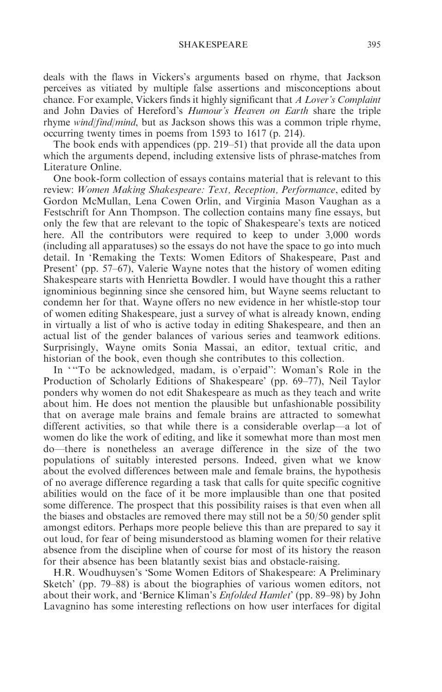deals with the flaws in Vickers's arguments based on rhyme, that Jackson perceives as vitiated by multiple false assertions and misconceptions about chance. For example, Vickers finds it highly significant that A Lover's Complaint and John Davies of Hereford's Humour's Heaven on Earth share the triple rhyme wind/find/mind, but as Jackson shows this was a common triple rhyme, occurring twenty times in poems from 1593 to 1617 (p. 214).

The book ends with appendices (pp. 219–51) that provide all the data upon which the arguments depend, including extensive lists of phrase-matches from Literature Online.

One book-form collection of essays contains material that is relevant to this review: Women Making Shakespeare: Text, Reception, Performance, edited by Gordon McMullan, Lena Cowen Orlin, and Virginia Mason Vaughan as a Festschrift for Ann Thompson. The collection contains many fine essays, but only the few that are relevant to the topic of Shakespeare's texts are noticed here. All the contributors were required to keep to under 3,000 words (including all apparatuses) so the essays do not have the space to go into much detail. In 'Remaking the Texts: Women Editors of Shakespeare, Past and Present' (pp. 57–67), Valerie Wayne notes that the history of women editing Shakespeare starts with Henrietta Bowdler. I would have thought this a rather ignominious beginning since she censored him, but Wayne seems reluctant to condemn her for that. Wayne offers no new evidence in her whistle-stop tour of women editing Shakespeare, just a survey of what is already known, ending in virtually a list of who is active today in editing Shakespeare, and then an actual list of the gender balances of various series and teamwork editions. Surprisingly, Wayne omits Sonia Massai, an editor, textual critic, and historian of the book, even though she contributes to this collection.

In "To be acknowledged, madam, is o'erpaid": Woman's Role in the Production of Scholarly Editions of Shakespeare' (pp. 69–77), Neil Taylor ponders why women do not edit Shakespeare as much as they teach and write about him. He does not mention the plausible but unfashionable possibility that on average male brains and female brains are attracted to somewhat different activities, so that while there is a considerable overlap—a lot of women do like the work of editing, and like it somewhat more than most men do—there is nonetheless an average difference in the size of the two populations of suitably interested persons. Indeed, given what we know about the evolved differences between male and female brains, the hypothesis of no average difference regarding a task that calls for quite specific cognitive abilities would on the face of it be more implausible than one that posited some difference. The prospect that this possibility raises is that even when all the biases and obstacles are removed there may still not be a 50/50 gender split amongst editors. Perhaps more people believe this than are prepared to say it out loud, for fear of being misunderstood as blaming women for their relative absence from the discipline when of course for most of its history the reason for their absence has been blatantly sexist bias and obstacle-raising.

H.R. Woudhuysen's 'Some Women Editors of Shakespeare: A Preliminary Sketch' (pp. 79–88) is about the biographies of various women editors, not about their work, and 'Bernice Kliman's Enfolded Hamlet' (pp. 89–98) by John Lavagnino has some interesting reflections on how user interfaces for digital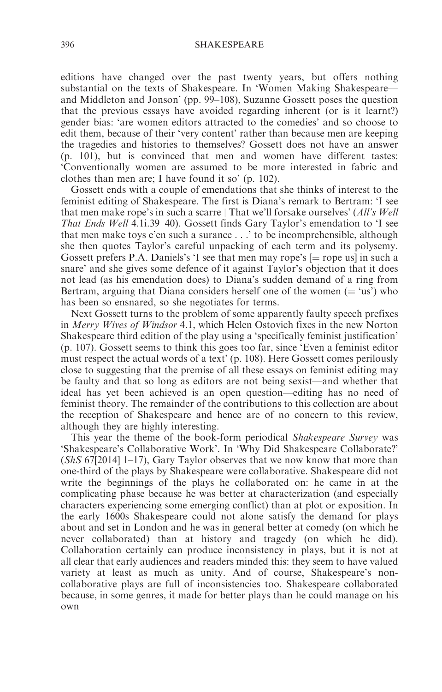editions have changed over the past twenty years, but offers nothing substantial on the texts of Shakespeare. In 'Women Making Shakespeare and Middleton and Jonson' (pp. 99–108), Suzanne Gossett poses the question that the previous essays have avoided regarding inherent (or is it learnt?) gender bias: 'are women editors attracted to the comedies' and so choose to edit them, because of their 'very content' rather than because men are keeping the tragedies and histories to themselves? Gossett does not have an answer (p. 101), but is convinced that men and women have different tastes: 'Conventionally women are assumed to be more interested in fabric and clothes than men are; I have found it so' (p. 102).

Gossett ends with a couple of emendations that she thinks of interest to the feminist editing of Shakespeare. The first is Diana's remark to Bertram: 'I see that men make rope's in such a scarre | That we'll forsake ourselves'  $\langle All's\ Well$ That Ends Well 4.1i.39–40). Gossett finds Gary Taylor's emendation to 'I see that men make toys e'en such a surance . . .' to be incomprehensible, although she then quotes Taylor's careful unpacking of each term and its polysemy. Gossett prefers P.A. Daniels's 'I see that men may rope's  $[=$  rope us] in such a snare' and she gives some defence of it against Taylor's objection that it does not lead (as his emendation does) to Diana's sudden demand of a ring from Bertram, arguing that Diana considers herself one of the women  $($  = 'us') who has been so ensnared, so she negotiates for terms.

Next Gossett turns to the problem of some apparently faulty speech prefixes in Merry Wives of Windsor 4.1, which Helen Ostovich fixes in the new Norton Shakespeare third edition of the play using a 'specifically feminist justification' (p. 107). Gossett seems to think this goes too far, since 'Even a feminist editor must respect the actual words of a text' (p. 108). Here Gossett comes perilously close to suggesting that the premise of all these essays on feminist editing may be faulty and that so long as editors are not being sexist—and whether that ideal has yet been achieved is an open question—editing has no need of feminist theory. The remainder of the contributions to this collection are about the reception of Shakespeare and hence are of no concern to this review, although they are highly interesting.

This year the theme of the book-form periodical Shakespeare Survey was 'Shakespeare's Collaborative Work'. In 'Why Did Shakespeare Collaborate?'  $(ShS 67[2014] 1–17)$ , Gary Taylor observes that we now know that more than one-third of the plays by Shakespeare were collaborative. Shakespeare did not write the beginnings of the plays he collaborated on: he came in at the complicating phase because he was better at characterization (and especially characters experiencing some emerging conflict) than at plot or exposition. In the early 1600s Shakespeare could not alone satisfy the demand for plays about and set in London and he was in general better at comedy (on which he never collaborated) than at history and tragedy (on which he did). Collaboration certainly can produce inconsistency in plays, but it is not at all clear that early audiences and readers minded this: they seem to have valued variety at least as much as unity. And of course, Shakespeare's noncollaborative plays are full of inconsistencies too. Shakespeare collaborated because, in some genres, it made for better plays than he could manage on his own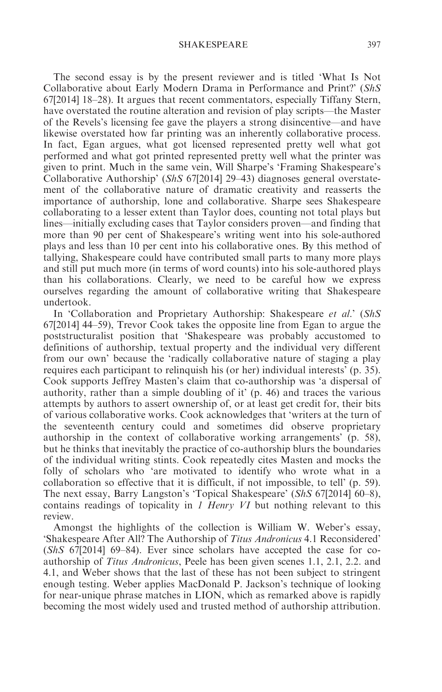The second essay is by the present reviewer and is titled 'What Is Not Collaborative about Early Modern Drama in Performance and Print?' (ShS 67[2014] 18–28). It argues that recent commentators, especially Tiffany Stern, have overstated the routine alteration and revision of play scripts—the Master of the Revels's licensing fee gave the players a strong disincentive—and have likewise overstated how far printing was an inherently collaborative process. In fact, Egan argues, what got licensed represented pretty well what got performed and what got printed represented pretty well what the printer was given to print. Much in the same vein, Will Sharpe's 'Framing Shakespeare's Collaborative Authorship' (ShS 67[2014] 29–43) diagnoses general overstatement of the collaborative nature of dramatic creativity and reasserts the importance of authorship, lone and collaborative. Sharpe sees Shakespeare collaborating to a lesser extent than Taylor does, counting not total plays but lines—initially excluding cases that Taylor considers proven—and finding that more than 90 per cent of Shakespeare's writing went into his sole-authored plays and less than 10 per cent into his collaborative ones. By this method of tallying, Shakespeare could have contributed small parts to many more plays and still put much more (in terms of word counts) into his sole-authored plays than his collaborations. Clearly, we need to be careful how we express ourselves regarding the amount of collaborative writing that Shakespeare undertook.

In 'Collaboration and Proprietary Authorship: Shakespeare et al.' (ShS 67[2014] 44–59), Trevor Cook takes the opposite line from Egan to argue the poststructuralist position that 'Shakespeare was probably accustomed to definitions of authorship, textual property and the individual very different from our own' because the 'radically collaborative nature of staging a play requires each participant to relinquish his (or her) individual interests' (p. 35). Cook supports Jeffrey Masten's claim that co-authorship was 'a dispersal of authority, rather than a simple doubling of it' (p. 46) and traces the various attempts by authors to assert ownership of, or at least get credit for, their bits of various collaborative works. Cook acknowledges that 'writers at the turn of the seventeenth century could and sometimes did observe proprietary authorship in the context of collaborative working arrangements' (p. 58), but he thinks that inevitably the practice of co-authorship blurs the boundaries of the individual writing stints. Cook repeatedly cites Masten and mocks the folly of scholars who 'are motivated to identify who wrote what in a collaboration so effective that it is difficult, if not impossible, to tell' (p. 59). The next essay, Barry Langston's 'Topical Shakespeare' (ShS 67[2014] 60–8), contains readings of topicality in  $I$  Henry VI but nothing relevant to this review.

Amongst the highlights of the collection is William W. Weber's essay, 'Shakespeare After All? The Authorship of Titus Andronicus 4.1 Reconsidered' (ShS 67[2014] 69–84). Ever since scholars have accepted the case for coauthorship of Titus Andronicus, Peele has been given scenes 1.1, 2.1, 2.2. and 4.1, and Weber shows that the last of these has not been subject to stringent enough testing. Weber applies MacDonald P. Jackson's technique of looking for near-unique phrase matches in LION, which as remarked above is rapidly becoming the most widely used and trusted method of authorship attribution.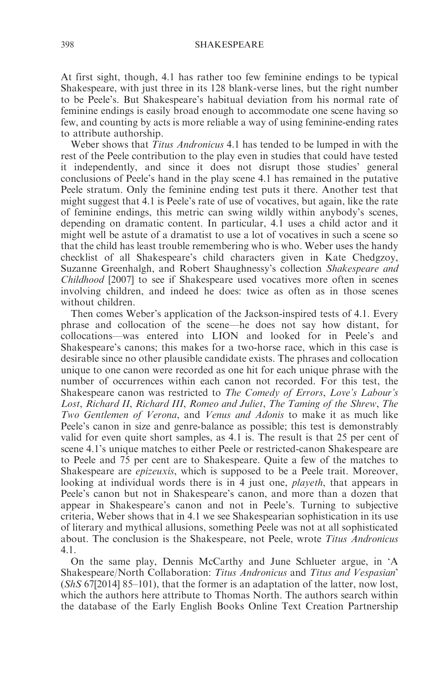At first sight, though, 4.1 has rather too few feminine endings to be typical Shakespeare, with just three in its 128 blank-verse lines, but the right number to be Peele's. But Shakespeare's habitual deviation from his normal rate of feminine endings is easily broad enough to accommodate one scene having so few, and counting by acts is more reliable a way of using feminine-ending rates to attribute authorship.

Weber shows that *Titus Andronicus* 4.1 has tended to be lumped in with the rest of the Peele contribution to the play even in studies that could have tested it independently, and since it does not disrupt those studies' general conclusions of Peele's hand in the play scene 4.1 has remained in the putative Peele stratum. Only the feminine ending test puts it there. Another test that might suggest that 4.1 is Peele's rate of use of vocatives, but again, like the rate of feminine endings, this metric can swing wildly within anybody's scenes, depending on dramatic content. In particular, 4.1 uses a child actor and it might well be astute of a dramatist to use a lot of vocatives in such a scene so that the child has least trouble remembering who is who. Weber uses the handy checklist of all Shakespeare's child characters given in Kate Chedgzoy, Suzanne Greenhalgh, and Robert Shaughnessy's collection Shakespeare and Childhood [2007] to see if Shakespeare used vocatives more often in scenes involving children, and indeed he does: twice as often as in those scenes without children.

Then comes Weber's application of the Jackson-inspired tests of 4.1. Every phrase and collocation of the scene—he does not say how distant, for collocations—was entered into LION and looked for in Peele's and Shakespeare's canons; this makes for a two-horse race, which in this case is desirable since no other plausible candidate exists. The phrases and collocation unique to one canon were recorded as one hit for each unique phrase with the number of occurrences within each canon not recorded. For this test, the Shakespeare canon was restricted to The Comedy of Errors, Love's Labour's Lost, Richard II, Richard III, Romeo and Juliet, The Taming of the Shrew, The Two Gentlemen of Verona, and Venus and Adonis to make it as much like Peele's canon in size and genre-balance as possible; this test is demonstrably valid for even quite short samples, as 4.1 is. The result is that 25 per cent of scene 4.1's unique matches to either Peele or restricted-canon Shakespeare are to Peele and 75 per cent are to Shakespeare. Quite a few of the matches to Shakespeare are epizeuxis, which is supposed to be a Peele trait. Moreover, looking at individual words there is in 4 just one, *playeth*, that appears in Peele's canon but not in Shakespeare's canon, and more than a dozen that appear in Shakespeare's canon and not in Peele's. Turning to subjective criteria, Weber shows that in 4.1 we see Shakespearian sophistication in its use of literary and mythical allusions, something Peele was not at all sophisticated about. The conclusion is the Shakespeare, not Peele, wrote Titus Andronicus 4.1.

On the same play, Dennis McCarthy and June Schlueter argue, in 'A Shakespeare/North Collaboration: Titus Andronicus and Titus and Vespasian'  $(ShS 67[2014] 85-101)$ , that the former is an adaptation of the latter, now lost, which the authors here attribute to Thomas North. The authors search within the database of the Early English Books Online Text Creation Partnership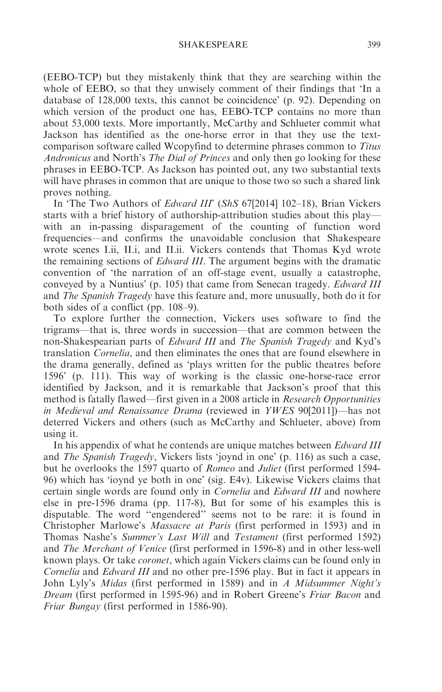(EEBO-TCP) but they mistakenly think that they are searching within the whole of EEBO, so that they unwisely comment of their findings that 'In a database of 128,000 texts, this cannot be coincidence' (p. 92). Depending on which version of the product one has, EEBO-TCP contains no more than about 53,000 texts. More importantly, McCarthy and Schlueter commit what Jackson has identified as the one-horse error in that they use the textcomparison software called Wcopyfind to determine phrases common to Titus Andronicus and North's *The Dial of Princes* and only then go looking for these phrases in EEBO-TCP. As Jackson has pointed out, any two substantial texts will have phrases in common that are unique to those two so such a shared link proves nothing.

In 'The Two Authors of *Edward III'* (ShS 67[2014] 102–18), Brian Vickers starts with a brief history of authorship-attribution studies about this play with an in-passing disparagement of the counting of function word frequencies—and confirms the unavoidable conclusion that Shakespeare wrote scenes I.ii, II.i, and II.ii. Vickers contends that Thomas Kyd wrote the remaining sections of Edward III. The argument begins with the dramatic convention of 'the narration of an off-stage event, usually a catastrophe, conveyed by a Nuntius' (p. 105) that came from Senecan tragedy. Edward III and The Spanish Tragedy have this feature and, more unusually, both do it for both sides of a conflict (pp. 108–9).

To explore further the connection, Vickers uses software to find the trigrams—that is, three words in succession—that are common between the non-Shakespearian parts of Edward III and The Spanish Tragedy and Kyd's translation Cornelia, and then eliminates the ones that are found elsewhere in the drama generally, defined as 'plays written for the public theatres before 1596' (p. 111). This way of working is the classic one-horse-race error identified by Jackson, and it is remarkable that Jackson's proof that this method is fatally flawed—first given in a 2008 article in Research Opportunities in Medieval and Renaissance Drama (reviewed in YWES 90[2011])—has not deterred Vickers and others (such as McCarthy and Schlueter, above) from using it.

In his appendix of what he contends are unique matches between Edward III and The Spanish Tragedy, Vickers lists 'joynd in one' (p. 116) as such a case, but he overlooks the 1597 quarto of Romeo and Juliet (first performed 1594- 96) which has 'ioynd ye both in one' (sig. E4v). Likewise Vickers claims that certain single words are found only in Cornelia and Edward III and nowhere else in pre-1596 drama (pp. 117-8), But for some of his examples this is disputable. The word ''engendered'' seems not to be rare: it is found in Christopher Marlowe's Massacre at Paris (first performed in 1593) and in Thomas Nashe's Summer's Last Will and Testament (first performed 1592) and The Merchant of Venice (first performed in 1596-8) and in other less-well known plays. Or take coronet, which again Vickers claims can be found only in Cornelia and Edward III and no other pre-1596 play. But in fact it appears in John Lyly's Midas (first performed in 1589) and in A Midsummer Night's Dream (first performed in 1595-96) and in Robert Greene's Friar Bacon and Friar Bungay (first performed in 1586-90).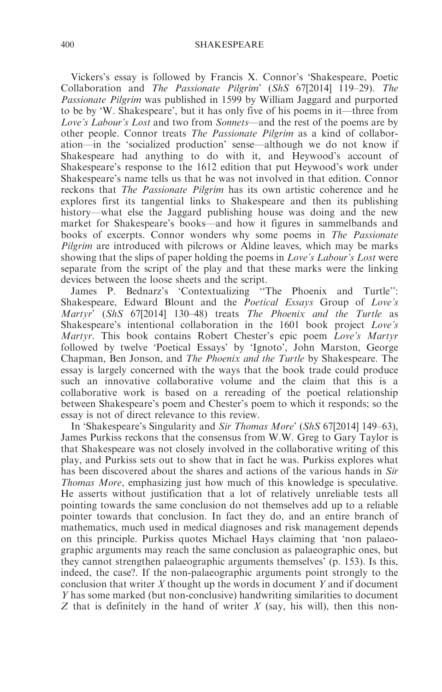Vickers's essay is followed by Francis X. Connor's 'Shakespeare, Poetic Collaboration and The Passionate Pilgrim' (ShS 67[2014] 119–29). The Passionate Pilgrim was published in 1599 by William Jaggard and purported to be by 'W. Shakespeare', but it has only five of his poems in it—three from Love's Labour's Lost and two from Sonnets—and the rest of the poems are by other people. Connor treats The Passionate Pilgrim as a kind of collaboration—in the 'socialized production' sense—although we do not know if Shakespeare had anything to do with it, and Heywood's account of Shakespeare's response to the 1612 edition that put Heywood's work under Shakespeare's name tells us that he was not involved in that edition. Connor reckons that The Passionate Pilgrim has its own artistic coherence and he explores first its tangential links to Shakespeare and then its publishing history—what else the Jaggard publishing house was doing and the new market for Shakespeare's books—and how it figures in sammelbands and books of excerpts. Connor wonders why some poems in The Passionate Pilgrim are introduced with pilcrows or Aldine leaves, which may be marks showing that the slips of paper holding the poems in Love's Labour's Lost were separate from the script of the play and that these marks were the linking devices between the loose sheets and the script.

James P. Bednarz's 'Contextualizing ''The Phoenix and Turtle'': Shakespeare, Edward Blount and the Poetical Essays Group of Love's Martyr<sup>3</sup> (ShS 67[2014] 130–48) treats The Phoenix and the Turtle as Shakespeare's intentional collaboration in the 1601 book project Love's Martyr. This book contains Robert Chester's epic poem Love's Martyr followed by twelve 'Poetical Essays' by 'Ignoto', John Marston, George Chapman, Ben Jonson, and The Phoenix and the Turtle by Shakespeare. The essay is largely concerned with the ways that the book trade could produce such an innovative collaborative volume and the claim that this is a collaborative work is based on a rereading of the poetical relationship between Shakespeare's poem and Chester's poem to which it responds; so the essay is not of direct relevance to this review.

In 'Shakespeare's Singularity and Sir Thomas More' (ShS 67[2014] 149–63), James Purkiss reckons that the consensus from W.W. Greg to Gary Taylor is that Shakespeare was not closely involved in the collaborative writing of this play, and Purkiss sets out to show that in fact he was. Purkiss explores what has been discovered about the shares and actions of the various hands in Sir Thomas More, emphasizing just how much of this knowledge is speculative. He asserts without justification that a lot of relatively unreliable tests all pointing towards the same conclusion do not themselves add up to a reliable pointer towards that conclusion. In fact they do, and an entire branch of mathematics, much used in medical diagnoses and risk management depends on this principle. Purkiss quotes Michael Hays claiming that 'non palaeographic arguments may reach the same conclusion as palaeographic ones, but they cannot strengthen palaeographic arguments themselves' (p. 153). Is this, indeed, the case?. If the non-palaeographic arguments point strongly to the conclusion that writer  $X$  thought up the words in document  $Y$  and if document Y has some marked (but non-conclusive) handwriting similarities to document Z that is definitely in the hand of writer  $X$  (say, his will), then this non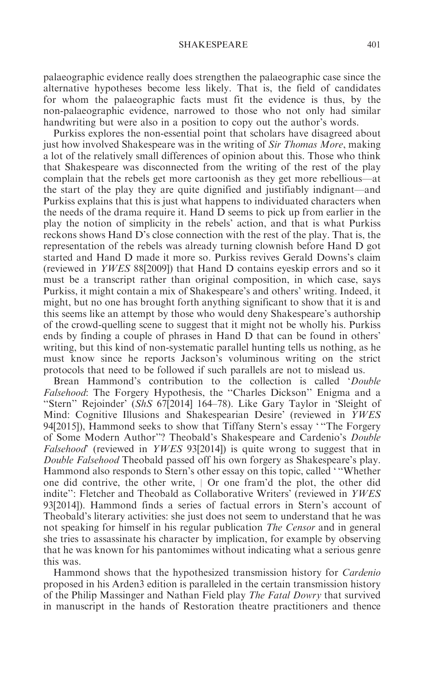palaeographic evidence really does strengthen the palaeographic case since the alternative hypotheses become less likely. That is, the field of candidates for whom the palaeographic facts must fit the evidence is thus, by the non-palaeographic evidence, narrowed to those who not only had similar handwriting but were also in a position to copy out the author's words.

Purkiss explores the non-essential point that scholars have disagreed about just how involved Shakespeare was in the writing of Sir Thomas More, making a lot of the relatively small differences of opinion about this. Those who think that Shakespeare was disconnected from the writing of the rest of the play complain that the rebels get more cartoonish as they get more rebellious—at the start of the play they are quite dignified and justifiably indignant—and Purkiss explains that this is just what happens to individuated characters when the needs of the drama require it. Hand D seems to pick up from earlier in the play the notion of simplicity in the rebels' action, and that is what Purkiss reckons shows Hand D's close connection with the rest of the play. That is, the representation of the rebels was already turning clownish before Hand D got started and Hand D made it more so. Purkiss revives Gerald Downs's claim (reviewed in YWES 88[2009]) that Hand D contains eyeskip errors and so it must be a transcript rather than original composition, in which case, says Purkiss, it might contain a mix of Shakespeare's and others' writing. Indeed, it might, but no one has brought forth anything significant to show that it is and this seems like an attempt by those who would deny Shakespeare's authorship of the crowd-quelling scene to suggest that it might not be wholly his. Purkiss ends by finding a couple of phrases in Hand D that can be found in others' writing, but this kind of non-systematic parallel hunting tells us nothing, as he must know since he reports Jackson's voluminous writing on the strict protocols that need to be followed if such parallels are not to mislead us.

Brean Hammond's contribution to the collection is called 'Double Falsehood: The Forgery Hypothesis, the "Charles Dickson" Enigma and a "Stern" Rejoinder' (ShS 67[2014] 164–78). Like Gary Taylor in 'Sleight of Mind: Cognitive Illusions and Shakespearian Desire' (reviewed in YWES 94[2015]), Hammond seeks to show that Tiffany Stern's essay ' ''The Forgery of Some Modern Author''? Theobald's Shakespeare and Cardenio's Double Falsehood' (reviewed in YWES 93[2014]) is quite wrong to suggest that in Double Falsehood Theobald passed off his own forgery as Shakespeare's play. Hammond also responds to Stern's other essay on this topic, called ' ''Whether one did contrive, the other write, | Or one fram'd the plot, the other did indite'': Fletcher and Theobald as Collaborative Writers' (reviewed in YWES 93[2014]). Hammond finds a series of factual errors in Stern's account of Theobald's literary activities: she just does not seem to understand that he was not speaking for himself in his regular publication The Censor and in general she tries to assassinate his character by implication, for example by observing that he was known for his pantomimes without indicating what a serious genre this was.

Hammond shows that the hypothesized transmission history for Cardenio proposed in his Arden3 edition is paralleled in the certain transmission history of the Philip Massinger and Nathan Field play The Fatal Dowry that survived in manuscript in the hands of Restoration theatre practitioners and thence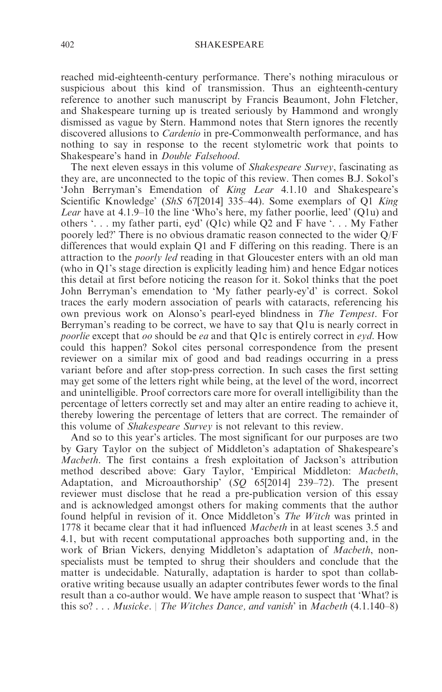reached mid-eighteenth-century performance. There's nothing miraculous or suspicious about this kind of transmission. Thus an eighteenth-century reference to another such manuscript by Francis Beaumont, John Fletcher, and Shakespeare turning up is treated seriously by Hammond and wrongly dismissed as vague by Stern. Hammond notes that Stern ignores the recently discovered allusions to Cardenio in pre-Commonwealth performance, and has nothing to say in response to the recent stylometric work that points to Shakespeare's hand in Double Falsehood.

The next eleven essays in this volume of *Shakespeare Survey*, fascinating as they are, are unconnected to the topic of this review. Then comes B.J. Sokol's 'John Berryman's Emendation of King Lear 4.1.10 and Shakespeare's Scientific Knowledge' (ShS 67[2014] 335–44). Some exemplars of Q1 King Lear have at 4.1.9–10 the line 'Who's here, my father poorlie, leed' (Q1u) and others '. . . my father parti, eyd' (Q1c) while Q2 and F have '. . . My Father poorely led?' There is no obvious dramatic reason connected to the wider Q/F differences that would explain Q1 and F differing on this reading. There is an attraction to the poorly led reading in that Gloucester enters with an old man (who in Q1's stage direction is explicitly leading him) and hence Edgar notices this detail at first before noticing the reason for it. Sokol thinks that the poet John Berryman's emendation to 'My father pearly-ey'd' is correct. Sokol traces the early modern association of pearls with cataracts, referencing his own previous work on Alonso's pearl-eyed blindness in The Tempest. For Berryman's reading to be correct, we have to say that Q1u is nearly correct in poorlie except that oo should be ea and that Q1c is entirely correct in evd. How could this happen? Sokol cites personal correspondence from the present reviewer on a similar mix of good and bad readings occurring in a press variant before and after stop-press correction. In such cases the first setting may get some of the letters right while being, at the level of the word, incorrect and unintelligible. Proof correctors care more for overall intelligibility than the percentage of letters correctly set and may alter an entire reading to achieve it, thereby lowering the percentage of letters that are correct. The remainder of this volume of Shakespeare Survey is not relevant to this review.

And so to this year's articles. The most significant for our purposes are two by Gary Taylor on the subject of Middleton's adaptation of Shakespeare's Macbeth. The first contains a fresh exploitation of Jackson's attribution method described above: Gary Taylor, 'Empirical Middleton: Macbeth, Adaptation, and Microauthorship' (SQ 65[2014] 239–72). The present reviewer must disclose that he read a pre-publication version of this essay and is acknowledged amongst others for making comments that the author found helpful in revision of it. Once Middleton's The Witch was printed in 1778 it became clear that it had influenced *Macbeth* in at least scenes 3.5 and 4.1, but with recent computational approaches both supporting and, in the work of Brian Vickers, denying Middleton's adaptation of Macbeth, nonspecialists must be tempted to shrug their shoulders and conclude that the matter is undecidable. Naturally, adaptation is harder to spot than collaborative writing because usually an adapter contributes fewer words to the final result than a co-author would. We have ample reason to suspect that 'What? is this so?  $\ldots$  Musicke. | The Witches Dance, and vanish' in Macbeth (4.1.140–8)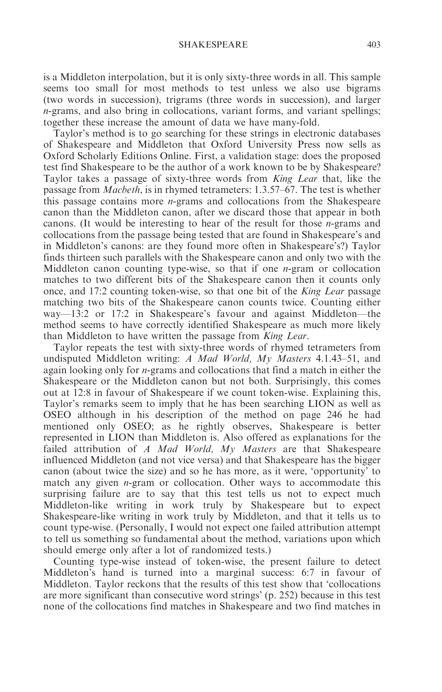is a Middleton interpolation, but it is only sixty-three words in all. This sample seems too small for most methods to test unless we also use bigrams (two words in succession), trigrams (three words in succession), and larger n-grams, and also bring in collocations, variant forms, and variant spellings; together these increase the amount of data we have many-fold.

Taylor's method is to go searching for these strings in electronic databases of Shakespeare and Middleton that Oxford University Press now sells as Oxford Scholarly Editions Online. First, a validation stage: does the proposed test find Shakespeare to be the author of a work known to be by Shakespeare? Taylor takes a passage of sixty-three words from King Lear that, like the passage from Macbeth, is in rhymed tetrameters: 1.3.57–67. The test is whether this passage contains more n-grams and collocations from the Shakespeare canon than the Middleton canon, after we discard those that appear in both canons. (It would be interesting to hear of the result for those  $n$ -grams and collocations from the passage being tested that are found in Shakespeare's and in Middleton's canons: are they found more often in Shakespeare's?) Taylor finds thirteen such parallels with the Shakespeare canon and only two with the Middleton canon counting type-wise, so that if one  $n$ -gram or collocation matches to two different bits of the Shakespeare canon then it counts only once, and 17:2 counting token-wise, so that one bit of the King Lear passage matching two bits of the Shakespeare canon counts twice. Counting either way—13:2 or 17:2 in Shakespeare's favour and against Middleton—the method seems to have correctly identified Shakespeare as much more likely than Middleton to have written the passage from King Lear.

Taylor repeats the test with sixty-three words of rhymed tetrameters from undisputed Middleton writing: A Mad World, My Masters  $4.1.43-51$ , and again looking only for n-grams and collocations that find a match in either the Shakespeare or the Middleton canon but not both. Surprisingly, this comes out at 12:8 in favour of Shakespeare if we count token-wise. Explaining this, Taylor's remarks seem to imply that he has been searching LION as well as OSEO although in his description of the method on page 246 he had mentioned only OSEO; as he rightly observes, Shakespeare is better represented in LION than Middleton is. Also offered as explanations for the failed attribution of A Mad World, My Masters are that Shakespeare influenced Middleton (and not vice versa) and that Shakespeare has the bigger canon (about twice the size) and so he has more, as it were, 'opportunity' to match any given n-gram or collocation. Other ways to accommodate this surprising failure are to say that this test tells us not to expect much Middleton-like writing in work truly by Shakespeare but to expect Shakespeare-like writing in work truly by Middleton, and that it tells us to count type-wise. (Personally, I would not expect one failed attribution attempt to tell us something so fundamental about the method, variations upon which should emerge only after a lot of randomized tests.)

Counting type-wise instead of token-wise, the present failure to detect Middleton's hand is turned into a marginal success: 6:7 in favour of Middleton. Taylor reckons that the results of this test show that 'collocations are more significant than consecutive word strings' (p. 252) because in this test none of the collocations find matches in Shakespeare and two find matches in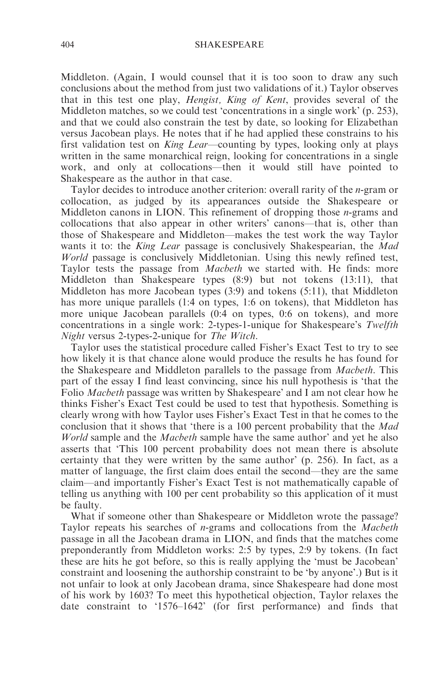Middleton. (Again, I would counsel that it is too soon to draw any such conclusions about the method from just two validations of it.) Taylor observes that in this test one play, Hengist, King of Kent, provides several of the Middleton matches, so we could test 'concentrations in a single work' (p. 253), and that we could also constrain the test by date, so looking for Elizabethan versus Jacobean plays. He notes that if he had applied these constrains to his first validation test on *King Lear*—counting by types, looking only at plays written in the same monarchical reign, looking for concentrations in a single work, and only at collocations—then it would still have pointed to Shakespeare as the author in that case.

Taylor decides to introduce another criterion: overall rarity of the *n*-gram or collocation, as judged by its appearances outside the Shakespeare or Middleton canons in LION. This refinement of dropping those n-grams and collocations that also appear in other writers' canons—that is, other than those of Shakespeare and Middleton—makes the test work the way Taylor wants it to: the *King Lear* passage is conclusively Shakespearian, the *Mad* World passage is conclusively Middletonian. Using this newly refined test, Taylor tests the passage from *Macbeth* we started with. He finds: more Middleton than Shakespeare types (8:9) but not tokens (13:11), that Middleton has more Jacobean types  $(3:9)$  and tokens  $(5:11)$ , that Middleton has more unique parallels (1:4 on types, 1:6 on tokens), that Middleton has more unique Jacobean parallels (0:4 on types, 0:6 on tokens), and more concentrations in a single work: 2-types-1-unique for Shakespeare's Twelfth Night versus 2-types-2-unique for The Witch.

Taylor uses the statistical procedure called Fisher's Exact Test to try to see how likely it is that chance alone would produce the results he has found for the Shakespeare and Middleton parallels to the passage from Macbeth. This part of the essay I find least convincing, since his null hypothesis is 'that the Folio Macbeth passage was written by Shakespeare' and I am not clear how he thinks Fisher's Exact Test could be used to test that hypothesis. Something is clearly wrong with how Taylor uses Fisher's Exact Test in that he comes to the conclusion that it shows that 'there is a 100 percent probability that the Mad World sample and the Macbeth sample have the same author' and yet he also asserts that 'This 100 percent probability does not mean there is absolute certainty that they were written by the same author' (p. 256). In fact, as a matter of language, the first claim does entail the second—they are the same claim—and importantly Fisher's Exact Test is not mathematically capable of telling us anything with 100 per cent probability so this application of it must be faulty.

What if someone other than Shakespeare or Middleton wrote the passage? Taylor repeats his searches of n-grams and collocations from the Macbeth passage in all the Jacobean drama in LION, and finds that the matches come preponderantly from Middleton works: 2:5 by types, 2:9 by tokens. (In fact these are hits he got before, so this is really applying the 'must be Jacobean' constraint and loosening the authorship constraint to be 'by anyone'.) But is it not unfair to look at only Jacobean drama, since Shakespeare had done most of his work by 1603? To meet this hypothetical objection, Taylor relaxes the date constraint to '1576–1642' (for first performance) and finds that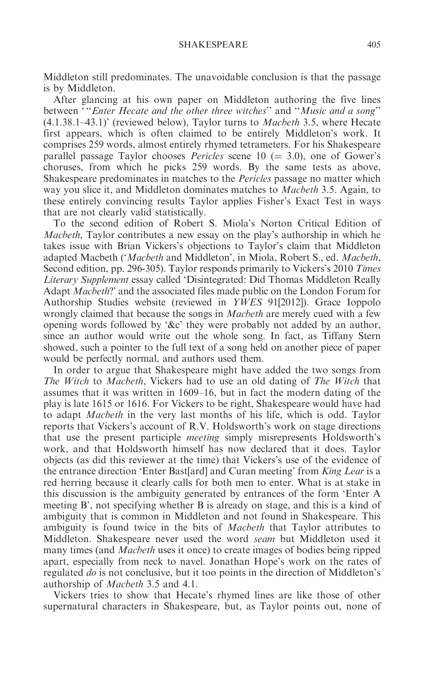Middleton still predominates. The unavoidable conclusion is that the passage is by Middleton.

After glancing at his own paper on Middleton authoring the five lines between ""Enter Hecate and the other three witches" and "Music and a song"  $(4.1.38.1-43.1)$ ' (reviewed below), Taylor turns to *Macbeth* 3.5, where Hecate first appears, which is often claimed to be entirely Middleton's work. It comprises 259 words, almost entirely rhymed tetrameters. For his Shakespeare parallel passage Taylor chooses *Pericles* scene  $10 (= 3.0)$ , one of Gower's choruses, from which he picks 259 words. By the same tests as above, Shakespeare predominates in matches to the Pericles passage no matter which way you slice it, and Middleton dominates matches to *Macbeth* 3.5. Again, to these entirely convincing results Taylor applies Fisher's Exact Test in ways that are not clearly valid statistically.

To the second edition of Robert S. Miola's Norton Critical Edition of Macbeth, Taylor contributes a new essay on the play's authorship in which he takes issue with Brian Vickers's objections to Taylor's claim that Middleton adapted Macbeth ('Macbeth and Middleton', in Miola, Robert S., ed. Macbeth, Second edition, pp. 296-305). Taylor responds primarily to Vickers's 2010 Times Literary Supplement essay called 'Disintegrated: Did Thomas Middleton Really Adapt Macbeth?' and the associated files made public on the London Forum for Authorship Studies website (reviewed in YWES 91[2012]). Grace Ioppolo wrongly claimed that because the songs in *Macbeth* are merely cued with a few opening words followed by '&c' they were probably not added by an author, since an author would write out the whole song. In fact, as Tiffany Stern showed, such a pointer to the full text of a song held on another piece of paper would be perfectly normal, and authors used them.

In order to argue that Shakespeare might have added the two songs from The Witch to Macbeth, Vickers had to use an old dating of The Witch that assumes that it was written in 1609–16, but in fact the modern dating of the play is late 1615 or 1616. For Vickers to be right, Shakespeare would have had to adapt Macbeth in the very last months of his life, which is odd. Taylor reports that Vickers's account of R.V. Holdsworth's work on stage directions that use the present participle meeting simply misrepresents Holdsworth's work, and that Holdsworth himself has now declared that it does. Taylor objects (as did this reviewer at the time) that Vickers's use of the evidence of the entrance direction 'Enter Bast[ard] and Curan meeting' from King Lear is a red herring because it clearly calls for both men to enter. What is at stake in this discussion is the ambiguity generated by entrances of the form 'Enter A meeting B', not specifying whether B is already on stage, and this is a kind of ambiguity that is common in Middleton and not found in Shakespeare. This ambiguity is found twice in the bits of Macbeth that Taylor attributes to Middleton. Shakespeare never used the word seam but Middleton used it many times (and Macbeth uses it once) to create images of bodies being ripped apart, especially from neck to navel. Jonathan Hope's work on the rates of regulated do is not conclusive, but it too points in the direction of Middleton's authorship of Macbeth 3.5 and 4.1.

Vickers tries to show that Hecate's rhymed lines are like those of other supernatural characters in Shakespeare, but, as Taylor points out, none of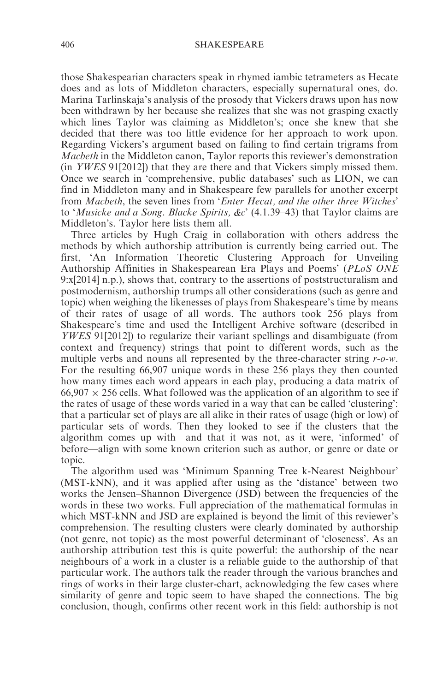those Shakespearian characters speak in rhymed iambic tetrameters as Hecate does and as lots of Middleton characters, especially supernatural ones, do. Marina Tarlinskaja's analysis of the prosody that Vickers draws upon has now been withdrawn by her because she realizes that she was not grasping exactly which lines Taylor was claiming as Middleton's; once she knew that she decided that there was too little evidence for her approach to work upon. Regarding Vickers's argument based on failing to find certain trigrams from Macbeth in the Middleton canon, Taylor reports this reviewer's demonstration (in YWES 91[2012]) that they are there and that Vickers simply missed them. Once we search in 'comprehensive, public databases' such as LION, we can find in Middleton many and in Shakespeare few parallels for another excerpt from Macbeth, the seven lines from 'Enter Hecat, and the other three Witches' to 'Musicke and a Song. Blacke Spirits, &c' (4.1.39–43) that Taylor claims are Middleton's. Taylor here lists them all.

Three articles by Hugh Craig in collaboration with others address the methods by which authorship attribution is currently being carried out. The first, 'An Information Theoretic Clustering Approach for Unveiling Authorship Affinities in Shakespearean Era Plays and Poems' (PLoS ONE 9:x[2014] n.p.), shows that, contrary to the assertions of poststructuralism and postmodernism, authorship trumps all other considerations (such as genre and topic) when weighing the likenesses of plays from Shakespeare's time by means of their rates of usage of all words. The authors took 256 plays from Shakespeare's time and used the Intelligent Archive software (described in YWES 91[2012]) to regularize their variant spellings and disambiguate (from context and frequency) strings that point to different words, such as the multiple verbs and nouns all represented by the three-character string  $r$ - $o$ -w. For the resulting 66,907 unique words in these 256 plays they then counted how many times each word appears in each play, producing a data matrix of  $66,907 \times 256$  cells. What followed was the application of an algorithm to see if the rates of usage of these words varied in a way that can be called 'clustering': that a particular set of plays are all alike in their rates of usage (high or low) of particular sets of words. Then they looked to see if the clusters that the algorithm comes up with—and that it was not, as it were, 'informed' of before—align with some known criterion such as author, or genre or date or topic.

The algorithm used was 'Minimum Spanning Tree k-Nearest Neighbour' (MST-kNN), and it was applied after using as the 'distance' between two works the Jensen–Shannon Divergence (JSD) between the frequencies of the words in these two works. Full appreciation of the mathematical formulas in which MST-kNN and JSD are explained is beyond the limit of this reviewer's comprehension. The resulting clusters were clearly dominated by authorship (not genre, not topic) as the most powerful determinant of 'closeness'. As an authorship attribution test this is quite powerful: the authorship of the near neighbours of a work in a cluster is a reliable guide to the authorship of that particular work. The authors talk the reader through the various branches and rings of works in their large cluster-chart, acknowledging the few cases where similarity of genre and topic seem to have shaped the connections. The big conclusion, though, confirms other recent work in this field: authorship is not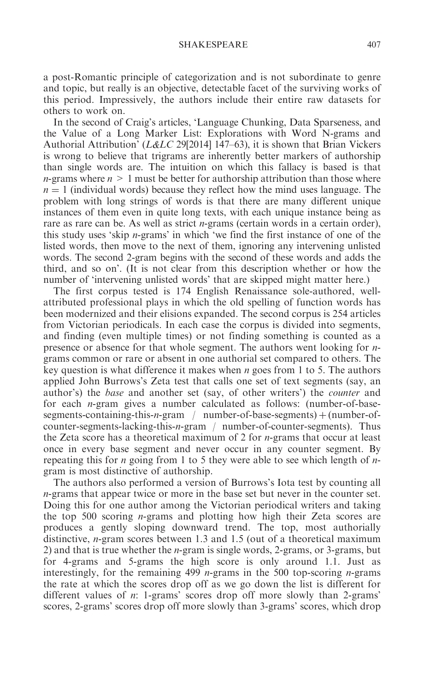a post-Romantic principle of categorization and is not subordinate to genre and topic, but really is an objective, detectable facet of the surviving works of this period. Impressively, the authors include their entire raw datasets for others to work on.

In the second of Craig's articles, 'Language Chunking, Data Sparseness, and the Value of a Long Marker List: Explorations with Word N-grams and Authorial Attribution' (L&LC 29[2014] 147–63), it is shown that Brian Vickers is wrong to believe that trigrams are inherently better markers of authorship than single words are. The intuition on which this fallacy is based is that *n*-grams where  $n > 1$  must be better for authorship attribution than those where  $n = 1$  (individual words) because they reflect how the mind uses language. The problem with long strings of words is that there are many different unique instances of them even in quite long texts, with each unique instance being as rare as rare can be. As well as strict *n*-grams (certain words in a certain order), this study uses 'skip n-grams' in which 'we find the first instance of one of the listed words, then move to the next of them, ignoring any intervening unlisted words. The second 2-gram begins with the second of these words and adds the third, and so on'. (It is not clear from this description whether or how the number of 'intervening unlisted words' that are skipped might matter here.)

The first corpus tested is 174 English Renaissance sole-authored, wellattributed professional plays in which the old spelling of function words has been modernized and their elisions expanded. The second corpus is 254 articles from Victorian periodicals. In each case the corpus is divided into segments, and finding (even multiple times) or not finding something is counted as a presence or absence for that whole segment. The authors went looking for ngrams common or rare or absent in one authorial set compared to others. The key question is what difference it makes when  $n$  goes from 1 to 5. The authors applied John Burrows's Zeta test that calls one set of text segments (say, an author's) the base and another set (say, of other writers') the counter and for each n-gram gives a number calculated as follows: (number-of-basesegments-containing-this-n-gram / number-of-base-segments)  $+$  (number-ofcounter-segments-lacking-this-n-gram / number-of-counter-segments). Thus the Zeta score has a theoretical maximum of 2 for  $n$ -grams that occur at least once in every base segment and never occur in any counter segment. By repeating this for *n* going from 1 to 5 they were able to see which length of *n*gram is most distinctive of authorship.

The authors also performed a version of Burrows's Iota test by counting all n-grams that appear twice or more in the base set but never in the counter set. Doing this for one author among the Victorian periodical writers and taking the top 500 scoring n-grams and plotting how high their Zeta scores are produces a gently sloping downward trend. The top, most authorially distinctive, n-gram scores between 1.3 and 1.5 (out of a theoretical maximum 2) and that is true whether the *n*-gram is single words, 2-grams, or 3-grams, but for 4-grams and 5-grams the high score is only around 1.1. Just as interestingly, for the remaining 499 *n*-grams in the 500 top-scoring *n*-grams the rate at which the scores drop off as we go down the list is different for different values of *n*: 1-grams' scores drop off more slowly than 2-grams' scores, 2-grams' scores drop off more slowly than 3-grams' scores, which drop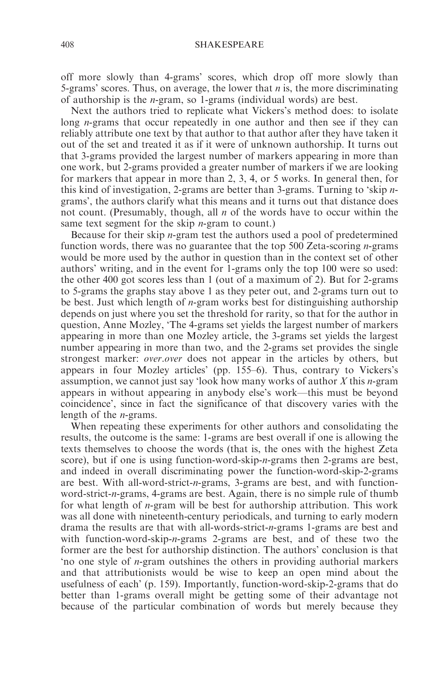off more slowly than 4-grams' scores, which drop off more slowly than 5-grams' scores. Thus, on average, the lower that  $n$  is, the more discriminating of authorship is the n-gram, so 1-grams (individual words) are best.

Next the authors tried to replicate what Vickers's method does: to isolate long n-grams that occur repeatedly in one author and then see if they can reliably attribute one text by that author to that author after they have taken it out of the set and treated it as if it were of unknown authorship. It turns out that 3-grams provided the largest number of markers appearing in more than one work, but 2-grams provided a greater number of markers if we are looking for markers that appear in more than 2, 3, 4, or 5 works. In general then, for this kind of investigation, 2-grams are better than 3-grams. Turning to 'skip ngrams', the authors clarify what this means and it turns out that distance does not count. (Presumably, though, all  $n$  of the words have to occur within the same text segment for the skip  $n$ -gram to count.)

Because for their skip *n*-gram test the authors used a pool of predetermined function words, there was no guarantee that the top  $500$  Zeta-scoring *n*-grams would be more used by the author in question than in the context set of other authors' writing, and in the event for 1-grams only the top 100 were so used: the other 400 got scores less than 1 (out of a maximum of 2). But for 2-grams to 5-grams the graphs stay above 1 as they peter out, and 2-grams turn out to be best. Just which length of *n*-gram works best for distinguishing authorship depends on just where you set the threshold for rarity, so that for the author in question, Anne Mozley, 'The 4-grams set yields the largest number of markers appearing in more than one Mozley article, the 3-grams set yields the largest number appearing in more than two, and the 2-grams set provides the single strongest marker: over.over does not appear in the articles by others, but appears in four Mozley articles' (pp. 155–6). Thus, contrary to Vickers's assumption, we cannot just say 'look how many works of author X this n-gram appears in without appearing in anybody else's work—this must be beyond coincidence', since in fact the significance of that discovery varies with the length of the *n*-grams.

When repeating these experiments for other authors and consolidating the results, the outcome is the same: 1-grams are best overall if one is allowing the texts themselves to choose the words (that is, the ones with the highest Zeta score), but if one is using function-word-skip-n-grams then 2-grams are best, and indeed in overall discriminating power the function-word-skip-2-grams are best. With all-word-strict-n-grams, 3-grams are best, and with functionword-strict-n-grams, 4-grams are best. Again, there is no simple rule of thumb for what length of n-gram will be best for authorship attribution. This work was all done with nineteenth-century periodicals, and turning to early modern drama the results are that with all-words-strict-n-grams 1-grams are best and with function-word-skip-n-grams 2-grams are best, and of these two the former are the best for authorship distinction. The authors' conclusion is that 'no one style of n-gram outshines the others in providing authorial markers and that attributionists would be wise to keep an open mind about the usefulness of each' (p. 159). Importantly, function-word-skip-2-grams that do better than 1-grams overall might be getting some of their advantage not because of the particular combination of words but merely because they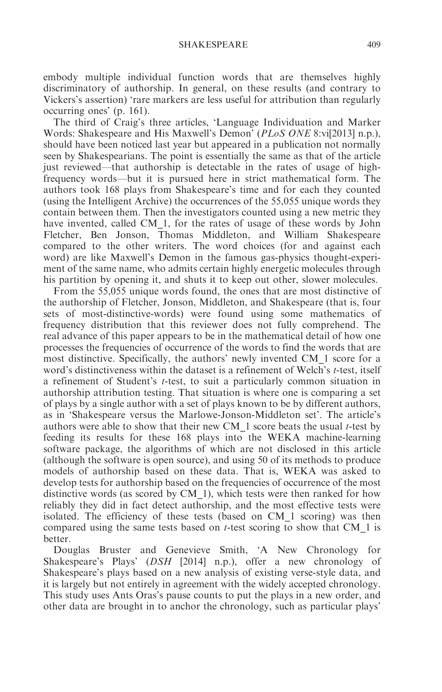embody multiple individual function words that are themselves highly discriminatory of authorship. In general, on these results (and contrary to Vickers's assertion) 'rare markers are less useful for attribution than regularly occurring ones' (p. 161).

The third of Craig's three articles, 'Language Individuation and Marker Words: Shakespeare and His Maxwell's Demon' (PLoS ONE 8:vi[2013] n.p.), should have been noticed last year but appeared in a publication not normally seen by Shakespearians. The point is essentially the same as that of the article just reviewed—that authorship is detectable in the rates of usage of highfrequency words—but it is pursued here in strict mathematical form. The authors took 168 plays from Shakespeare's time and for each they counted (using the Intelligent Archive) the occurrences of the 55,055 unique words they contain between them. Then the investigators counted using a new metric they have invented, called CM\_1, for the rates of usage of these words by John Fletcher, Ben Jonson, Thomas Middleton, and William Shakespeare compared to the other writers. The word choices (for and against each word) are like Maxwell's Demon in the famous gas-physics thought-experiment of the same name, who admits certain highly energetic molecules through his partition by opening it, and shuts it to keep out other, slower molecules.

From the 55,055 unique words found, the ones that are most distinctive of the authorship of Fletcher, Jonson, Middleton, and Shakespeare (that is, four sets of most-distinctive-words) were found using some mathematics of frequency distribution that this reviewer does not fully comprehend. The real advance of this paper appears to be in the mathematical detail of how one processes the frequencies of occurrence of the words to find the words that are most distinctive. Specifically, the authors' newly invented CM\_1 score for a word's distinctiveness within the dataset is a refinement of Welch's t-test, itself a refinement of Student's t-test, to suit a particularly common situation in authorship attribution testing. That situation is where one is comparing a set of plays by a single author with a set of plays known to be by different authors, as in 'Shakespeare versus the Marlowe-Jonson-Middleton set'. The article's authors were able to show that their new CM\_1 score beats the usual t-test by feeding its results for these 168 plays into the WEKA machine-learning software package, the algorithms of which are not disclosed in this article (although the software is open source), and using 50 of its methods to produce models of authorship based on these data. That is, WEKA was asked to develop tests for authorship based on the frequencies of occurrence of the most distinctive words (as scored by CM\_1), which tests were then ranked for how reliably they did in fact detect authorship, and the most effective tests were isolated. The efficiency of these tests (based on CM\_1 scoring) was then compared using the same tests based on  $t$ -test scoring to show that  $CM_1$  is better.

Douglas Bruster and Genevieve Smith, 'A New Chronology for Shakespeare's Plays' (DSH [2014] n.p.), offer a new chronology of Shakespeare's plays based on a new analysis of existing verse-style data, and it is largely but not entirely in agreement with the widely accepted chronology. This study uses Ants Oras's pause counts to put the plays in a new order, and other data are brought in to anchor the chronology, such as particular plays'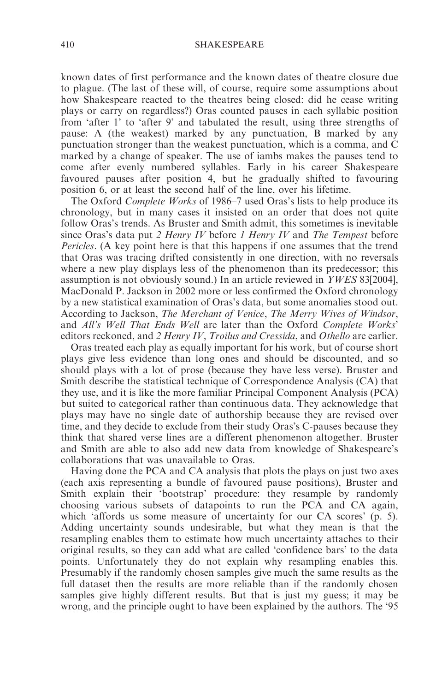known dates of first performance and the known dates of theatre closure due to plague. (The last of these will, of course, require some assumptions about how Shakespeare reacted to the theatres being closed: did he cease writing plays or carry on regardless?) Oras counted pauses in each syllabic position from 'after 1' to 'after 9' and tabulated the result, using three strengths of pause: A (the weakest) marked by any punctuation, B marked by any punctuation stronger than the weakest punctuation, which is a comma, and C marked by a change of speaker. The use of iambs makes the pauses tend to come after evenly numbered syllables. Early in his career Shakespeare favoured pauses after position 4, but he gradually shifted to favouring position 6, or at least the second half of the line, over his lifetime.

The Oxford *Complete Works* of 1986–7 used Oras's lists to help produce its chronology, but in many cases it insisted on an order that does not quite follow Oras's trends. As Bruster and Smith admit, this sometimes is inevitable since Oras's data put 2 Henry IV before 1 Henry IV and The Tempest before Pericles. (A key point here is that this happens if one assumes that the trend that Oras was tracing drifted consistently in one direction, with no reversals where a new play displays less of the phenomenon than its predecessor; this assumption is not obviously sound.) In an article reviewed in YWES 83[2004], MacDonald P. Jackson in 2002 more or less confirmed the Oxford chronology by a new statistical examination of Oras's data, but some anomalies stood out. According to Jackson, The Merchant of Venice, The Merry Wives of Windsor, and All's Well That Ends Well are later than the Oxford Complete Works' editors reckoned, and 2 Henry IV, Troilus and Cressida, and Othello are earlier.

Oras treated each play as equally important for his work, but of course short plays give less evidence than long ones and should be discounted, and so should plays with a lot of prose (because they have less verse). Bruster and Smith describe the statistical technique of Correspondence Analysis (CA) that they use, and it is like the more familiar Principal Component Analysis (PCA) but suited to categorical rather than continuous data. They acknowledge that plays may have no single date of authorship because they are revised over time, and they decide to exclude from their study Oras's C-pauses because they think that shared verse lines are a different phenomenon altogether. Bruster and Smith are able to also add new data from knowledge of Shakespeare's collaborations that was unavailable to Oras.

Having done the PCA and CA analysis that plots the plays on just two axes (each axis representing a bundle of favoured pause positions), Bruster and Smith explain their 'bootstrap' procedure: they resample by randomly choosing various subsets of datapoints to run the PCA and CA again, which 'affords us some measure of uncertainty for our CA scores' (p. 5). Adding uncertainty sounds undesirable, but what they mean is that the resampling enables them to estimate how much uncertainty attaches to their original results, so they can add what are called 'confidence bars' to the data points. Unfortunately they do not explain why resampling enables this. Presumably if the randomly chosen samples give much the same results as the full dataset then the results are more reliable than if the randomly chosen samples give highly different results. But that is just my guess; it may be wrong, and the principle ought to have been explained by the authors. The '95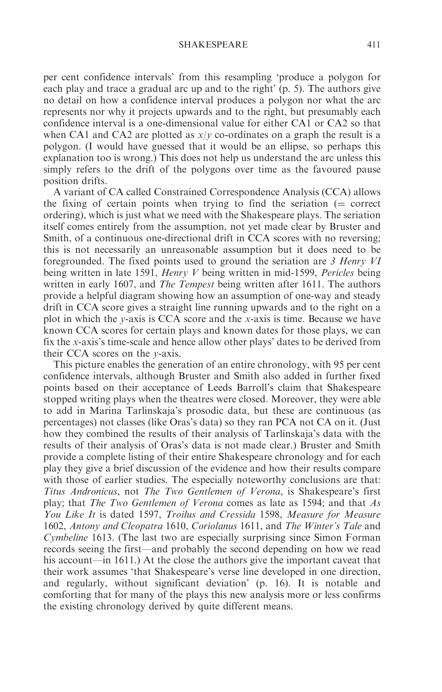per cent confidence intervals' from this resampling 'produce a polygon for each play and trace a gradual arc up and to the right' (p. 5). The authors give no detail on how a confidence interval produces a polygon nor what the arc represents nor why it projects upwards and to the right, but presumably each confidence interval is a one-dimensional value for either CA1 or CA2 so that when CA1 and CA2 are plotted as  $x/y$  co-ordinates on a graph the result is a polygon. (I would have guessed that it would be an ellipse, so perhaps this explanation too is wrong.) This does not help us understand the arc unless this simply refers to the drift of the polygons over time as the favoured pause position drifts.

A variant of CA called Constrained Correspondence Analysis (CCA) allows the fixing of certain points when trying to find the seriation  $(=$  correct ordering), which is just what we need with the Shakespeare plays. The seriation itself comes entirely from the assumption, not yet made clear by Bruster and Smith, of a continuous one-directional drift in CCA scores with no reversing; this is not necessarily an unreasonable assumption but it does need to be foregrounded. The fixed points used to ground the seriation are 3 Henry VI being written in late 1591, Henry V being written in mid-1599, Pericles being written in early 1607, and *The Tempest* being written after 1611. The authors provide a helpful diagram showing how an assumption of one-way and steady drift in CCA score gives a straight line running upwards and to the right on a plot in which the  $\nu$ -axis is CCA score and the x-axis is time. Because we have known CCA scores for certain plays and known dates for those plays, we can fix the x-axis's time-scale and hence allow other plays' dates to be derived from their CCA scores on the y-axis.

This picture enables the generation of an entire chronology, with 95 per cent confidence intervals, although Bruster and Smith also added in further fixed points based on their acceptance of Leeds Barroll's claim that Shakespeare stopped writing plays when the theatres were closed. Moreover, they were able to add in Marina Tarlinskaja's prosodic data, but these are continuous (as percentages) not classes (like Oras's data) so they ran PCA not CA on it. (Just how they combined the results of their analysis of Tarlinskaja's data with the results of their analysis of Oras's data is not made clear.) Bruster and Smith provide a complete listing of their entire Shakespeare chronology and for each play they give a brief discussion of the evidence and how their results compare with those of earlier studies. The especially noteworthy conclusions are that: Titus Andronicus, not The Two Gentlemen of Verona, is Shakespeare's first play; that The Two Gentlemen of Verona comes as late as 1594; and that As You Like It is dated 1597, Troilus and Cressida 1598, Measure for Measure 1602, Antony and Cleopatra 1610, Coriolanus 1611, and The Winter's Tale and Cymbeline 1613. (The last two are especially surprising since Simon Forman records seeing the first—and probably the second depending on how we read his account—in 1611.) At the close the authors give the important caveat that their work assumes 'that Shakespeare's verse line developed in one direction, and regularly, without significant deviation' (p. 16). It is notable and comforting that for many of the plays this new analysis more or less confirms the existing chronology derived by quite different means.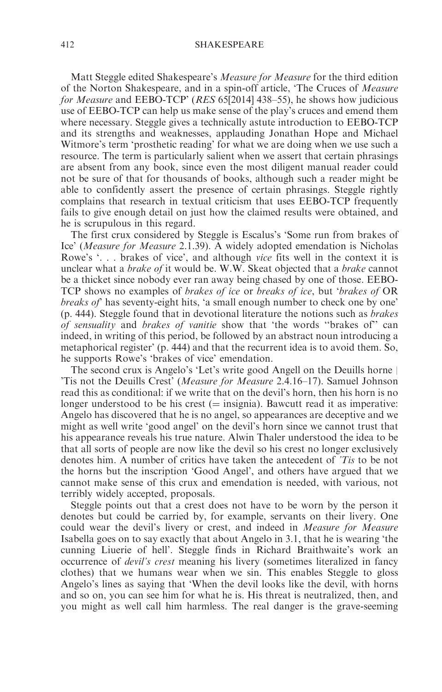Matt Steggle edited Shakespeare's Measure for Measure for the third edition of the Norton Shakespeare, and in a spin-off article, 'The Cruces of Measure for Measure and EEBO-TCP' (RES 65[2014] 438–55), he shows how judicious use of EEBO-TCP can help us make sense of the play's cruces and emend them where necessary. Steggle gives a technically astute introduction to EEBO-TCP and its strengths and weaknesses, applauding Jonathan Hope and Michael Witmore's term 'prosthetic reading' for what we are doing when we use such a resource. The term is particularly salient when we assert that certain phrasings are absent from any book, since even the most diligent manual reader could not be sure of that for thousands of books, although such a reader might be able to confidently assert the presence of certain phrasings. Steggle rightly complains that research in textual criticism that uses EEBO-TCP frequently fails to give enough detail on just how the claimed results were obtained, and he is scrupulous in this regard.

The first crux considered by Steggle is Escalus's 'Some run from brakes of Ice' (Measure for Measure 2.1.39). A widely adopted emendation is Nicholas Rowe's '... brakes of vice', and although *vice* fits well in the context it is unclear what a *brake of* it would be. W.W. Skeat objected that a *brake* cannot be a thicket since nobody ever ran away being chased by one of those. EEBO-TCP shows no examples of brakes of ice or breaks of ice, but 'brakes of OR breaks of' has seventy-eight hits, 'a small enough number to check one by one' (p. 444). Steggle found that in devotional literature the notions such as brakes of sensuality and brakes of vanitie show that 'the words ''brakes of'' can indeed, in writing of this period, be followed by an abstract noun introducing a metaphorical register' (p. 444) and that the recurrent idea is to avoid them. So, he supports Rowe's 'brakes of vice' emendation.

The second crux is Angelo's 'Let's write good Angell on the Deuills horne | 'Tis not the Deuills Crest' (Measure for Measure 2.4.16–17). Samuel Johnson read this as conditional: if we write that on the devil's horn, then his horn is no longer understood to be his crest  $(=$  insignia). Bawcutt read it as imperative: Angelo has discovered that he is no angel, so appearances are deceptive and we might as well write 'good angel' on the devil's horn since we cannot trust that his appearance reveals his true nature. Alwin Thaler understood the idea to be that all sorts of people are now like the devil so his crest no longer exclusively denotes him. A number of critics have taken the antecedent of 'Tis to be not the horns but the inscription 'Good Angel', and others have argued that we cannot make sense of this crux and emendation is needed, with various, not terribly widely accepted, proposals.

Steggle points out that a crest does not have to be worn by the person it denotes but could be carried by, for example, servants on their livery. One could wear the devil's livery or crest, and indeed in Measure for Measure Isabella goes on to say exactly that about Angelo in 3.1, that he is wearing 'the cunning Liuerie of hell'. Steggle finds in Richard Braithwaite's work an occurrence of devil's crest meaning his livery (sometimes literalized in fancy clothes) that we humans wear when we sin. This enables Steggle to gloss Angelo's lines as saying that 'When the devil looks like the devil, with horns and so on, you can see him for what he is. His threat is neutralized, then, and you might as well call him harmless. The real danger is the grave-seeming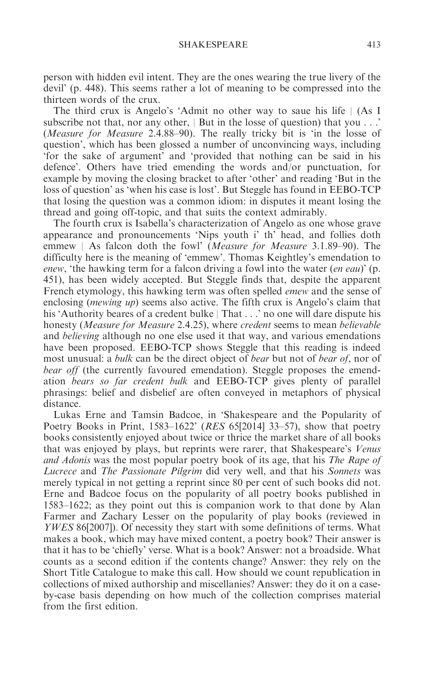person with hidden evil intent. They are the ones wearing the true livery of the devil' (p. 448). This seems rather a lot of meaning to be compressed into the thirteen words of the crux.

The third crux is Angelo's 'Admit no other way to saue his life | (As I subscribe not that, nor any other, | But in the losse of question) that you . . .' (Measure for Measure 2.4.88–90). The really tricky bit is 'in the losse of question', which has been glossed a number of unconvincing ways, including 'for the sake of argument' and 'provided that nothing can be said in his defence'. Others have tried emending the words and/or punctuation, for example by moving the closing bracket to after 'other' and reading 'But in the loss of question' as 'when his case is lost'. But Steggle has found in EEBO-TCP that losing the question was a common idiom: in disputes it meant losing the thread and going off-topic, and that suits the context admirably.

The fourth crux is Isabella's characterization of Angelo as one whose grave appearance and pronouncements 'Nips youth i' th' head, and follies doth emmew | As falcon doth the fowl' (Measure for Measure 3.1.89–90). The difficulty here is the meaning of 'emmew'. Thomas Keightley's emendation to enew, 'the hawking term for a falcon driving a fowl into the water (en eau)' (p. 451), has been widely accepted. But Steggle finds that, despite the apparent French etymology, this hawking term was often spelled emew and the sense of enclosing *(mewing up)* seems also active. The fifth crux is Angelo's claim that his 'Authority beares of a credent bulke | That . . .' no one will dare dispute his honesty (Measure for Measure 2.4.25), where credent seems to mean believable and believing although no one else used it that way, and various emendations have been proposed. EEBO-TCP shows Steggle that this reading is indeed most unusual: a *bulk* can be the direct object of *bear* but not of *bear of*, nor of bear off (the currently favoured emendation). Steggle proposes the emendation bears so far credent bulk and EEBO-TCP gives plenty of parallel phrasings: belief and disbelief are often conveyed in metaphors of physical distance.

Lukas Erne and Tamsin Badcoe, in 'Shakespeare and the Popularity of Poetry Books in Print, 1583–1622' (RES 65[2014] 33–57), show that poetry books consistently enjoyed about twice or thrice the market share of all books that was enjoyed by plays, but reprints were rarer, that Shakespeare's Venus and Adonis was the most popular poetry book of its age, that his The Rape of Lucrece and The Passionate Pilgrim did very well, and that his Sonnets was merely typical in not getting a reprint since 80 per cent of such books did not. Erne and Badcoe focus on the popularity of all poetry books published in 1583–1622; as they point out this is companion work to that done by Alan Farmer and Zachary Lesser on the popularity of play books (reviewed in YWES 86[2007]). Of necessity they start with some definitions of terms. What makes a book, which may have mixed content, a poetry book? Their answer is that it has to be 'chiefly' verse. What is a book? Answer: not a broadside. What counts as a second edition if the contents change? Answer: they rely on the Short Title Catalogue to make this call. How should we count republication in collections of mixed authorship and miscellanies? Answer: they do it on a caseby-case basis depending on how much of the collection comprises material from the first edition.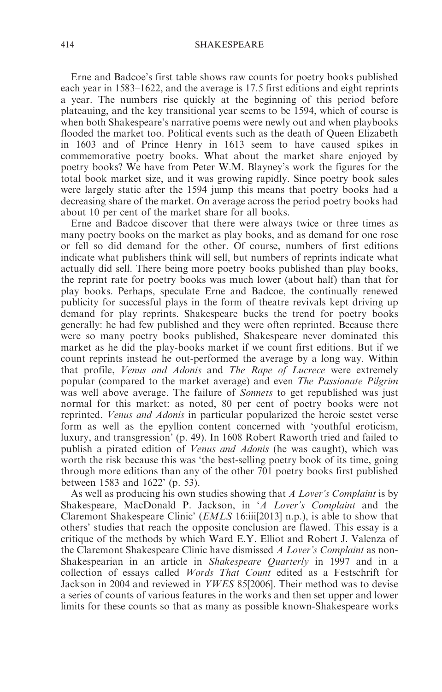Erne and Badcoe's first table shows raw counts for poetry books published each year in 1583–1622, and the average is 17.5 first editions and eight reprints a year. The numbers rise quickly at the beginning of this period before plateauing, and the key transitional year seems to be 1594, which of course is when both Shakespeare's narrative poems were newly out and when playbooks flooded the market too. Political events such as the death of Queen Elizabeth in 1603 and of Prince Henry in 1613 seem to have caused spikes in commemorative poetry books. What about the market share enjoyed by poetry books? We have from Peter W.M. Blayney's work the figures for the total book market size, and it was growing rapidly. Since poetry book sales were largely static after the 1594 jump this means that poetry books had a decreasing share of the market. On average across the period poetry books had about 10 per cent of the market share for all books.

Erne and Badcoe discover that there were always twice or three times as many poetry books on the market as play books, and as demand for one rose or fell so did demand for the other. Of course, numbers of first editions indicate what publishers think will sell, but numbers of reprints indicate what actually did sell. There being more poetry books published than play books, the reprint rate for poetry books was much lower (about half) than that for play books. Perhaps, speculate Erne and Badcoe, the continually renewed publicity for successful plays in the form of theatre revivals kept driving up demand for play reprints. Shakespeare bucks the trend for poetry books generally: he had few published and they were often reprinted. Because there were so many poetry books published, Shakespeare never dominated this market as he did the play-books market if we count first editions. But if we count reprints instead he out-performed the average by a long way. Within that profile, Venus and Adonis and The Rape of Lucrece were extremely popular (compared to the market average) and even The Passionate Pilgrim was well above average. The failure of Sonnets to get republished was just normal for this market: as noted, 80 per cent of poetry books were not reprinted. Venus and Adonis in particular popularized the heroic sestet verse form as well as the epyllion content concerned with 'youthful eroticism, luxury, and transgression' (p. 49). In 1608 Robert Raworth tried and failed to publish a pirated edition of Venus and Adonis (he was caught), which was worth the risk because this was 'the best-selling poetry book of its time, going through more editions than any of the other 701 poetry books first published between 1583 and 1622' (p. 53).

As well as producing his own studies showing that A Lover's Complaint is by Shakespeare, MacDonald P. Jackson, in 'A Lover's Complaint and the Claremont Shakespeare Clinic' (EMLS 16:iii[2013] n.p.), is able to show that others' studies that reach the opposite conclusion are flawed. This essay is a critique of the methods by which Ward E.Y. Elliot and Robert J. Valenza of the Claremont Shakespeare Clinic have dismissed A Lover's Complaint as non-Shakespearian in an article in Shakespeare Quarterly in 1997 and in a collection of essays called Words That Count edited as a Festschrift for Jackson in 2004 and reviewed in YWES 85[2006]. Their method was to devise a series of counts of various features in the works and then set upper and lower limits for these counts so that as many as possible known-Shakespeare works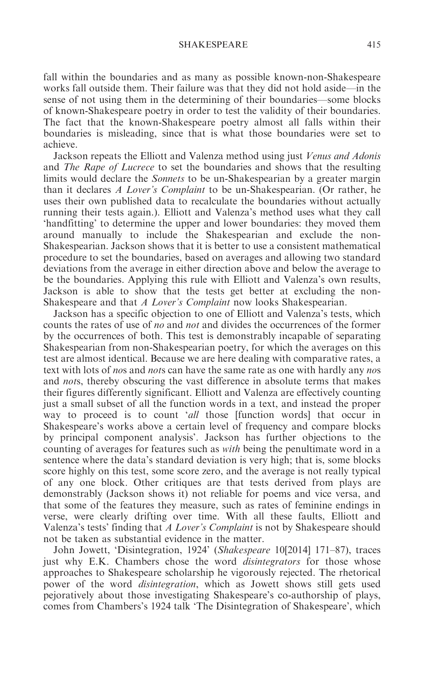fall within the boundaries and as many as possible known-non-Shakespeare works fall outside them. Their failure was that they did not hold aside—in the sense of not using them in the determining of their boundaries—some blocks of known-Shakespeare poetry in order to test the validity of their boundaries. The fact that the known-Shakespeare poetry almost all falls within their boundaries is misleading, since that is what those boundaries were set to achieve.

Jackson repeats the Elliott and Valenza method using just Venus and Adonis and *The Rape of Lucrece* to set the boundaries and shows that the resulting limits would declare the Sonnets to be un-Shakespearian by a greater margin than it declares A Lover's Complaint to be un-Shakespearian. (Or rather, he uses their own published data to recalculate the boundaries without actually running their tests again.). Elliott and Valenza's method uses what they call 'handfitting' to determine the upper and lower boundaries: they moved them around manually to include the Shakespearian and exclude the non-Shakespearian. Jackson shows that it is better to use a consistent mathematical procedure to set the boundaries, based on averages and allowing two standard deviations from the average in either direction above and below the average to be the boundaries. Applying this rule with Elliott and Valenza's own results, Jackson is able to show that the tests get better at excluding the non-Shakespeare and that A Lover's Complaint now looks Shakespearian.

Jackson has a specific objection to one of Elliott and Valenza's tests, which counts the rates of use of no and not and divides the occurrences of the former by the occurrences of both. This test is demonstrably incapable of separating Shakespearian from non-Shakespearian poetry, for which the averages on this test are almost identical. Because we are here dealing with comparative rates, a text with lots of *nos* and *nots* can have the same rate as one with hardly any *nos* and nots, thereby obscuring the vast difference in absolute terms that makes their figures differently significant. Elliott and Valenza are effectively counting just a small subset of all the function words in a text, and instead the proper way to proceed is to count 'all those [function words] that occur in Shakespeare's works above a certain level of frequency and compare blocks by principal component analysis'. Jackson has further objections to the counting of averages for features such as with being the penultimate word in a sentence where the data's standard deviation is very high; that is, some blocks score highly on this test, some score zero, and the average is not really typical of any one block. Other critiques are that tests derived from plays are demonstrably (Jackson shows it) not reliable for poems and vice versa, and that some of the features they measure, such as rates of feminine endings in verse, were clearly drifting over time. With all these faults, Elliott and Valenza's tests' finding that A Lover's Complaint is not by Shakespeare should not be taken as substantial evidence in the matter.

John Jowett, 'Disintegration, 1924' (Shakespeare 10[2014] 171–87), traces just why E.K. Chambers chose the word *disintegrators* for those whose approaches to Shakespeare scholarship he vigorously rejected. The rhetorical power of the word disintegration, which as Jowett shows still gets used pejoratively about those investigating Shakespeare's co-authorship of plays, comes from Chambers's 1924 talk 'The Disintegration of Shakespeare', which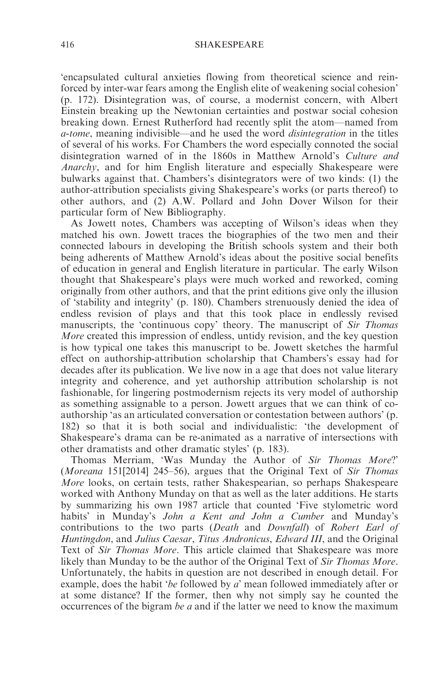'encapsulated cultural anxieties flowing from theoretical science and reinforced by inter-war fears among the English elite of weakening social cohesion' (p. 172). Disintegration was, of course, a modernist concern, with Albert Einstein breaking up the Newtonian certainties and postwar social cohesion breaking down. Ernest Rutherford had recently split the atom—named from a-tome, meaning indivisible—and he used the word disintegration in the titles of several of his works. For Chambers the word especially connoted the social disintegration warned of in the 1860s in Matthew Arnold's Culture and Anarchy, and for him English literature and especially Shakespeare were bulwarks against that. Chambers's disintegrators were of two kinds: (1) the author-attribution specialists giving Shakespeare's works (or parts thereof) to other authors, and (2) A.W. Pollard and John Dover Wilson for their particular form of New Bibliography.

As Jowett notes, Chambers was accepting of Wilson's ideas when they matched his own. Jowett traces the biographies of the two men and their connected labours in developing the British schools system and their both being adherents of Matthew Arnold's ideas about the positive social benefits of education in general and English literature in particular. The early Wilson thought that Shakespeare's plays were much worked and reworked, coming originally from other authors, and that the print editions give only the illusion of 'stability and integrity' (p. 180). Chambers strenuously denied the idea of endless revision of plays and that this took place in endlessly revised manuscripts, the 'continuous copy' theory. The manuscript of Sir Thomas More created this impression of endless, untidy revision, and the key question is how typical one takes this manuscript to be. Jowett sketches the harmful effect on authorship-attribution scholarship that Chambers's essay had for decades after its publication. We live now in a age that does not value literary integrity and coherence, and yet authorship attribution scholarship is not fashionable, for lingering postmodernism rejects its very model of authorship as something assignable to a person. Jowett argues that we can think of coauthorship 'as an articulated conversation or contestation between authors' (p. 182) so that it is both social and individualistic: 'the development of Shakespeare's drama can be re-animated as a narrative of intersections with other dramatists and other dramatic styles' (p. 183).

Thomas Merriam, 'Was Munday the Author of Sir Thomas More?' (Moreana 151[2014] 245–56), argues that the Original Text of Sir Thomas More looks, on certain tests, rather Shakespearian, so perhaps Shakespeare worked with Anthony Munday on that as well as the later additions. He starts by summarizing his own 1987 article that counted 'Five stylometric word habits' in Munday's John a Kent and John a Cumber and Munday's contributions to the two parts (Death and Downfall) of Robert Earl of Huntingdon, and Julius Caesar, Titus Andronicus, Edward III, and the Original Text of Sir Thomas More. This article claimed that Shakespeare was more likely than Munday to be the author of the Original Text of Sir Thomas More. Unfortunately, the habits in question are not described in enough detail. For example, does the habit 'be followed by a' mean followed immediately after or at some distance? If the former, then why not simply say he counted the occurrences of the bigram be a and if the latter we need to know the maximum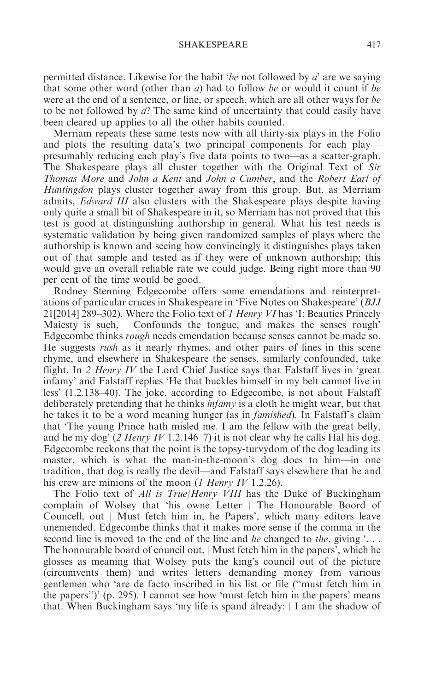permitted distance. Likewise for the habit 'be not followed by  $a$ ' are we saying that some other word (other than a) had to follow be or would it count if be were at the end of a sentence, or line, or speech, which are all other ways for be to be not followed by a? The same kind of uncertainty that could easily have been cleared up applies to all the other habits counted.

Merriam repeats these same tests now with all thirty-six plays in the Folio and plots the resulting data's two principal components for each play presumably reducing each play's five data points to two—as a scatter-graph. The Shakespeare plays all cluster together with the Original Text of Sir Thomas More and John a Kent and John a Cumber, and the Robert Earl of Huntingdon plays cluster together away from this group. But, as Merriam admits, Edward III also clusters with the Shakespeare plays despite having only quite a small bit of Shakespeare in it, so Merriam has not proved that this test is good at distinguishing authorship in general. What his test needs is systematic validation by being given randomized samples of plays where the authorship is known and seeing how convincingly it distinguishes plays taken out of that sample and tested as if they were of unknown authorship; this would give an overall reliable rate we could judge. Being right more than 90 per cent of the time would be good.

Rodney Stenning Edgecombe offers some emendations and reinterpretations of particular cruces in Shakespeare in 'Five Notes on Shakespeare' (BJJ 21[2014] 289–302). Where the Folio text of 1 Henry VI has 'I: Beauties Princely Maiesty is such, | Confounds the tongue, and makes the senses rough' Edgecombe thinks rough needs emendation because senses cannot be made so. He suggests rush as it nearly rhymes, and other pairs of lines in this scene rhyme, and elsewhere in Shakespeare the senses, similarly confounded, take flight. In  $2$  Henry IV the Lord Chief Justice says that Falstaff lives in 'great infamy' and Falstaff replies 'He that buckles himself in my belt cannot live in less' (1.2.138–40). The joke, according to Edgecombe, is not about Falstaff deliberately pretending that he thinks infamy is a cloth he might wear, but that he takes it to be a word meaning hunger (as in famished). In Falstaff's claim that 'The young Prince hath misled me. I am the fellow with the great belly, and he my dog' (2 Henry IV 1.2.146–7) it is not clear why he calls Hal his dog. Edgecombe reckons that the point is the topsy-turvydom of the dog leading its master, which is what the man-in-the-moon's dog does to him—in one tradition, that dog is really the devil—and Falstaff says elsewhere that he and his crew are minions of the moon (1 Henry IV 1.2.26).

The Folio text of *All is True/Henry VIII* has the Duke of Buckingham complain of Wolsey that 'his owne Letter | The Honourable Boord of Councell, out | Must fetch him in, he Papers', which many editors leave unemended. Edgecombe thinks that it makes more sense if the comma in the second line is moved to the end of the line and he changed to the, giving  $\cdot$ ... The honourable board of council out, | Must fetch him in the papers', which he glosses as meaning that Wolsey puts the king's council out of the picture (circumvents them) and writes letters demanding money from various gentlemen who 'are de facto inscribed in his list or file (''must fetch him in the papers'')' (p. 295). I cannot see how 'must fetch him in the papers' means that. When Buckingham says 'my life is spand already: | I am the shadow of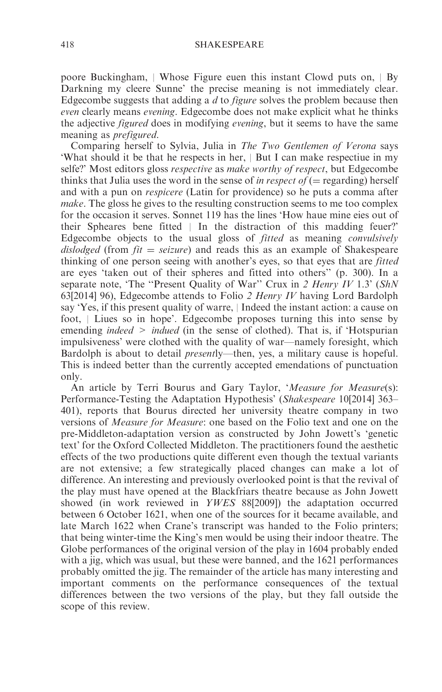poore Buckingham, | Whose Figure euen this instant Clowd puts on, | By Darkning my cleere Sunne' the precise meaning is not immediately clear. Edgecombe suggests that adding a d to *figure* solves the problem because then even clearly means evening. Edgecombe does not make explicit what he thinks the adjective *figured* does in modifying *evening*, but it seems to have the same meaning as prefigured.

Comparing herself to Sylvia, Julia in The Two Gentlemen of Verona says 'What should it be that he respects in her, | But I can make respectiue in my selfe?' Most editors gloss *respective* as *make worthy of respect*, but Edgecombe thinks that Julia uses the word in the sense of in respect of ( $=$  regarding) herself and with a pun on respicere (Latin for providence) so he puts a comma after make. The gloss he gives to the resulting construction seems to me too complex for the occasion it serves. Sonnet 119 has the lines 'How haue mine eies out of their Spheares bene fitted | In the distraction of this madding feuer?' Edgecombe objects to the usual gloss of fitted as meaning convulsively dislodged (from  $fit = seizure$ ) and reads this as an example of Shakespeare thinking of one person seeing with another's eyes, so that eyes that are *fitted* are eyes 'taken out of their spheres and fitted into others'' (p. 300). In a separate note, 'The "Present Quality of War" Crux in 2 Henry IV 1.3' (ShN 63[2014] 96), Edgecombe attends to Folio 2 Henry IV having Lord Bardolph say 'Yes, if this present quality of warre, | Indeed the instant action: a cause on foot, | Liues so in hope'. Edgecombe proposes turning this into sense by emending *indeed > indued* (in the sense of clothed). That is, if 'Hotspurian impulsiveness' were clothed with the quality of war—namely foresight, which Bardolph is about to detail presently—then, yes, a military cause is hopeful. This is indeed better than the currently accepted emendations of punctuation only.

An article by Terri Bourus and Gary Taylor, 'Measure for Measure(s): Performance-Testing the Adaptation Hypothesis' (Shakespeare 10[2014] 363– 401), reports that Bourus directed her university theatre company in two versions of Measure for Measure: one based on the Folio text and one on the pre-Middleton-adaptation version as constructed by John Jowett's 'genetic text' for the Oxford Collected Middleton. The practitioners found the aesthetic effects of the two productions quite different even though the textual variants are not extensive; a few strategically placed changes can make a lot of difference. An interesting and previously overlooked point is that the revival of the play must have opened at the Blackfriars theatre because as John Jowett showed (in work reviewed in YWES 88[2009]) the adaptation occurred between 6 October 1621, when one of the sources for it became available, and late March 1622 when Crane's transcript was handed to the Folio printers; that being winter-time the King's men would be using their indoor theatre. The Globe performances of the original version of the play in 1604 probably ended with a jig, which was usual, but these were banned, and the 1621 performances probably omitted the jig. The remainder of the article has many interesting and important comments on the performance consequences of the textual differences between the two versions of the play, but they fall outside the scope of this review.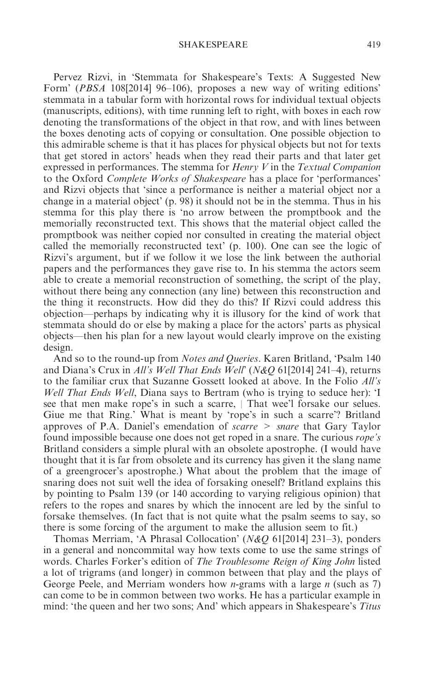Pervez Rizvi, in 'Stemmata for Shakespeare's Texts: A Suggested New Form' (PBSA 108[2014] 96–106), proposes a new way of writing editions' stemmata in a tabular form with horizontal rows for individual textual objects (manuscripts, editions), with time running left to right, with boxes in each row denoting the transformations of the object in that row, and with lines between the boxes denoting acts of copying or consultation. One possible objection to this admirable scheme is that it has places for physical objects but not for texts that get stored in actors' heads when they read their parts and that later get expressed in performances. The stemma for  $Henry V$  in the Textual Companion to the Oxford Complete Works of Shakespeare has a place for 'performances' and Rizvi objects that 'since a performance is neither a material object nor a change in a material object' (p. 98) it should not be in the stemma. Thus in his stemma for this play there is 'no arrow between the promptbook and the memorially reconstructed text. This shows that the material object called the promptbook was neither copied nor consulted in creating the material object called the memorially reconstructed text' (p. 100). One can see the logic of Rizvi's argument, but if we follow it we lose the link between the authorial papers and the performances they gave rise to. In his stemma the actors seem able to create a memorial reconstruction of something, the script of the play, without there being any connection (any line) between this reconstruction and the thing it reconstructs. How did they do this? If Rizvi could address this objection—perhaps by indicating why it is illusory for the kind of work that stemmata should do or else by making a place for the actors' parts as physical objects—then his plan for a new layout would clearly improve on the existing design.

And so to the round-up from Notes and Queries. Karen Britland, 'Psalm 140 and Diana's Crux in All's Well That Ends Well' (N&Q 61[2014] 241–4), returns to the familiar crux that Suzanne Gossett looked at above. In the Folio All's Well That Ends Well, Diana says to Bertram (who is trying to seduce her): 'I see that men make rope's in such a scarre, | That wee'l forsake our selues. Giue me that Ring.' What is meant by 'rope's in such a scarre'? Britland approves of P.A. Daniel's emendation of scarre  $>$  snare that Gary Taylor found impossible because one does not get roped in a snare. The curious rope's Britland considers a simple plural with an obsolete apostrophe. (I would have thought that it is far from obsolete and its currency has given it the slang name of a greengrocer's apostrophe.) What about the problem that the image of snaring does not suit well the idea of forsaking oneself? Britland explains this by pointing to Psalm 139 (or 140 according to varying religious opinion) that refers to the ropes and snares by which the innocent are led by the sinful to forsake themselves. (In fact that is not quite what the psalm seems to say, so there is some forcing of the argument to make the allusion seem to fit.)

Thomas Merriam, 'A Phrasal Collocation' (N&Q 61[2014] 231–3), ponders in a general and noncommital way how texts come to use the same strings of words. Charles Forker's edition of The Troublesome Reign of King John listed a lot of trigrams (and longer) in common between that play and the plays of George Peele, and Merriam wonders how *n*-grams with a large *n* (such as 7) can come to be in common between two works. He has a particular example in mind: 'the queen and her two sons; And' which appears in Shakespeare's Titus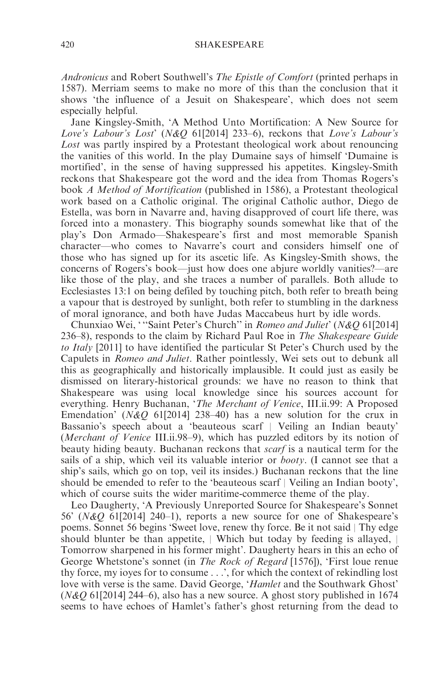Andronicus and Robert Southwell's The Epistle of Comfort (printed perhaps in 1587). Merriam seems to make no more of this than the conclusion that it shows 'the influence of a Jesuit on Shakespeare', which does not seem especially helpful.

Jane Kingsley-Smith, 'A Method Unto Mortification: A New Source for Love's Labour's Lost' (N&Q 61[2014] 233–6), reckons that Love's Labour's Lost was partly inspired by a Protestant theological work about renouncing the vanities of this world. In the play Dumaine says of himself 'Dumaine is mortified', in the sense of having suppressed his appetites. Kingsley-Smith reckons that Shakespeare got the word and the idea from Thomas Rogers's book A Method of Mortification (published in 1586), a Protestant theological work based on a Catholic original. The original Catholic author, Diego de Estella, was born in Navarre and, having disapproved of court life there, was forced into a monastery. This biography sounds somewhat like that of the play's Don Armado—Shakespeare's first and most memorable Spanish character—who comes to Navarre's court and considers himself one of those who has signed up for its ascetic life. As Kingsley-Smith shows, the concerns of Rogers's book—just how does one abjure worldly vanities?—are like those of the play, and she traces a number of parallels. Both allude to Ecclesiastes 13:1 on being defiled by touching pitch, both refer to breath being a vapour that is destroyed by sunlight, both refer to stumbling in the darkness of moral ignorance, and both have Judas Maccabeus hurt by idle words.

Chunxiao Wei, "Saint Peter's Church" in Romeo and Juliet' (N&O 61[2014] 236–8), responds to the claim by Richard Paul Roe in The Shakespeare Guide to Italy [2011] to have identified the particular St Peter's Church used by the Capulets in Romeo and Juliet. Rather pointlessly, Wei sets out to debunk all this as geographically and historically implausible. It could just as easily be dismissed on literary-historical grounds: we have no reason to think that Shakespeare was using local knowledge since his sources account for everything. Henry Buchanan, 'The Merchant of Venice, III.ii.99: A Proposed Emendation' ( $N\&Q$  61[2014] 238-40) has a new solution for the crux in Bassanio's speech about a 'beauteous scarf | Veiling an Indian beauty' (Merchant of Venice III.ii.98–9), which has puzzled editors by its notion of beauty hiding beauty. Buchanan reckons that scarf is a nautical term for the sails of a ship, which veil its valuable interior or *booty*. (I cannot see that a ship's sails, which go on top, veil its insides.) Buchanan reckons that the line should be emended to refer to the 'beauteous scarf | Veiling an Indian booty', which of course suits the wider maritime-commerce theme of the play.

Leo Daugherty, 'A Previously Unreported Source for Shakespeare's Sonnet 56' (N&Q 61[2014] 240–1), reports a new source for one of Shakespeare's poems. Sonnet 56 begins 'Sweet love, renew thy force. Be it not said | Thy edge should blunter be than appetite, | Which but today by feeding is allayed, | Tomorrow sharpened in his former might'. Daugherty hears in this an echo of George Whetstone's sonnet (in The Rock of Regard [1576]), 'First loue renue thy force, my ioyes for to consume . . .', for which the context of rekindling lost love with verse is the same. David George, 'Hamlet and the Southwark Ghost'  $(N&Q 61[2014] 244–6)$ , also has a new source. A ghost story published in 1674 seems to have echoes of Hamlet's father's ghost returning from the dead to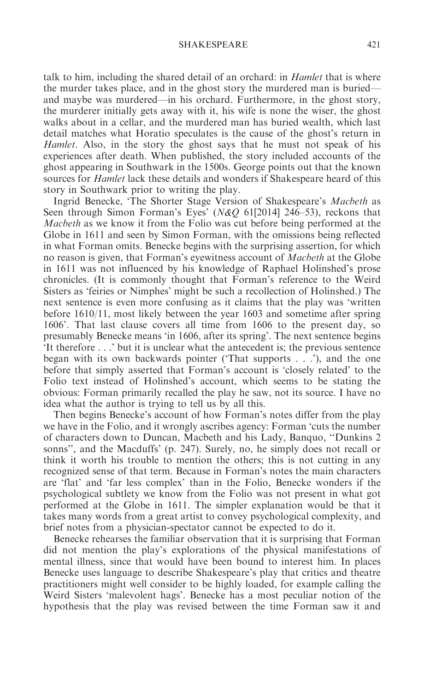talk to him, including the shared detail of an orchard: in *Hamlet* that is where the murder takes place, and in the ghost story the murdered man is buried and maybe was murdered—in his orchard. Furthermore, in the ghost story, the murderer initially gets away with it, his wife is none the wiser, the ghost walks about in a cellar, and the murdered man has buried wealth, which last detail matches what Horatio speculates is the cause of the ghost's return in Hamlet. Also, in the story the ghost says that he must not speak of his experiences after death. When published, the story included accounts of the ghost appearing in Southwark in the 1500s. George points out that the known sources for *Hamlet* lack these details and wonders if Shakespeare heard of this story in Southwark prior to writing the play.

Ingrid Benecke, 'The Shorter Stage Version of Shakespeare's Macbeth as Seen through Simon Forman's Eyes' (N&Q 61[2014] 246-53), reckons that Macbeth as we know it from the Folio was cut before being performed at the Globe in 1611 and seen by Simon Forman, with the omissions being reflected in what Forman omits. Benecke begins with the surprising assertion, for which no reason is given, that Forman's eyewitness account of Macbeth at the Globe in 1611 was not influenced by his knowledge of Raphael Holinshed's prose chronicles. (It is commonly thought that Forman's reference to the Weird Sisters as 'feiries or Nimphes' might be such a recollection of Holinshed.) The next sentence is even more confusing as it claims that the play was 'written before 1610/11, most likely between the year 1603 and sometime after spring 1606'. That last clause covers all time from 1606 to the present day, so presumably Benecke means 'in 1606, after its spring'. The next sentence begins 'It therefore . . .' but it is unclear what the antecedent is; the previous sentence began with its own backwards pointer ('That supports . . .'), and the one before that simply asserted that Forman's account is 'closely related' to the Folio text instead of Holinshed's account, which seems to be stating the obvious: Forman primarily recalled the play he saw, not its source. I have no idea what the author is trying to tell us by all this.

Then begins Benecke's account of how Forman's notes differ from the play we have in the Folio, and it wrongly ascribes agency: Forman 'cuts the number of characters down to Duncan, Macbeth and his Lady, Banquo, ''Dunkins 2 sonns'', and the Macduffs' (p. 247). Surely, no, he simply does not recall or think it worth his trouble to mention the others; this is not cutting in any recognized sense of that term. Because in Forman's notes the main characters are 'flat' and 'far less complex' than in the Folio, Benecke wonders if the psychological subtlety we know from the Folio was not present in what got performed at the Globe in 1611. The simpler explanation would be that it takes many words from a great artist to convey psychological complexity, and brief notes from a physician-spectator cannot be expected to do it.

Benecke rehearses the familiar observation that it is surprising that Forman did not mention the play's explorations of the physical manifestations of mental illness, since that would have been bound to interest him. In places Benecke uses language to describe Shakespeare's play that critics and theatre practitioners might well consider to be highly loaded, for example calling the Weird Sisters 'malevolent hags'. Benecke has a most peculiar notion of the hypothesis that the play was revised between the time Forman saw it and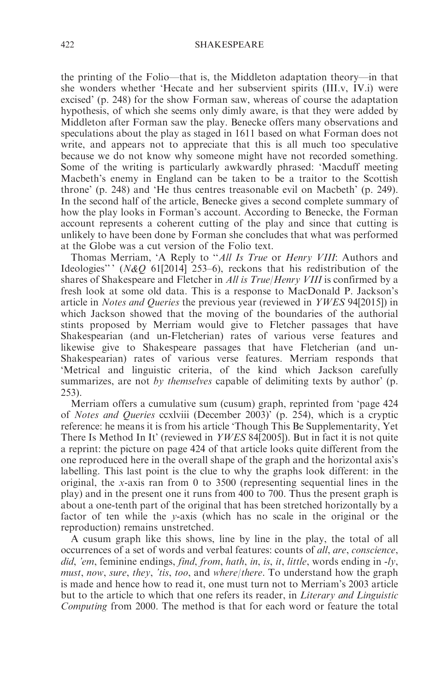the printing of the Folio—that is, the Middleton adaptation theory—in that she wonders whether 'Hecate and her subservient spirits (III.v, IV.i) were excised' (p. 248) for the show Forman saw, whereas of course the adaptation hypothesis, of which she seems only dimly aware, is that they were added by Middleton after Forman saw the play. Benecke offers many observations and speculations about the play as staged in 1611 based on what Forman does not write, and appears not to appreciate that this is all much too speculative because we do not know why someone might have not recorded something. Some of the writing is particularly awkwardly phrased: 'Macduff meeting Macbeth's enemy in England can be taken to be a traitor to the Scottish throne' (p. 248) and 'He thus centres treasonable evil on Macbeth' (p. 249). In the second half of the article, Benecke gives a second complete summary of how the play looks in Forman's account. According to Benecke, the Forman account represents a coherent cutting of the play and since that cutting is unlikely to have been done by Forman she concludes that what was performed at the Globe was a cut version of the Folio text.

Thomas Merriam, 'A Reply to "All Is True or Henry VIII: Authors and Ideologies"' ( $N&O$  61[2014] 253–6), reckons that his redistribution of the shares of Shakespeare and Fletcher in All is True/Henry VIII is confirmed by a fresh look at some old data. This is a response to MacDonald P. Jackson's article in Notes and Queries the previous year (reviewed in YWES 94[2015]) in which Jackson showed that the moving of the boundaries of the authorial stints proposed by Merriam would give to Fletcher passages that have Shakespearian (and un-Fletcherian) rates of various verse features and likewise give to Shakespeare passages that have Fletcherian (and un-Shakespearian) rates of various verse features. Merriam responds that 'Metrical and linguistic criteria, of the kind which Jackson carefully summarizes, are not by *themselves* capable of delimiting texts by author' (p. 253).

Merriam offers a cumulative sum (cusum) graph, reprinted from 'page 424 of Notes and Queries ccxlviii (December 2003)' (p. 254), which is a cryptic reference: he means it is from his article 'Though This Be Supplementarity, Yet There Is Method In It' (reviewed in YWES 84[2005]). But in fact it is not quite a reprint: the picture on page 424 of that article looks quite different from the one reproduced here in the overall shape of the graph and the horizontal axis's labelling. This last point is the clue to why the graphs look different: in the original, the x-axis ran from 0 to 3500 (representing sequential lines in the play) and in the present one it runs from 400 to 700. Thus the present graph is about a one-tenth part of the original that has been stretched horizontally by a factor of ten while the  $v$ -axis (which has no scale in the original or the reproduction) remains unstretched.

A cusum graph like this shows, line by line in the play, the total of all occurrences of a set of words and verbal features: counts of all, are, conscience, did, 'em, feminine endings, find, from, hath, in, is, it, little, words ending in  $-ly$ , must, now, sure, they, 'tis, too, and where/there. To understand how the graph is made and hence how to read it, one must turn not to Merriam's 2003 article but to the article to which that one refers its reader, in Literary and Linguistic Computing from 2000. The method is that for each word or feature the total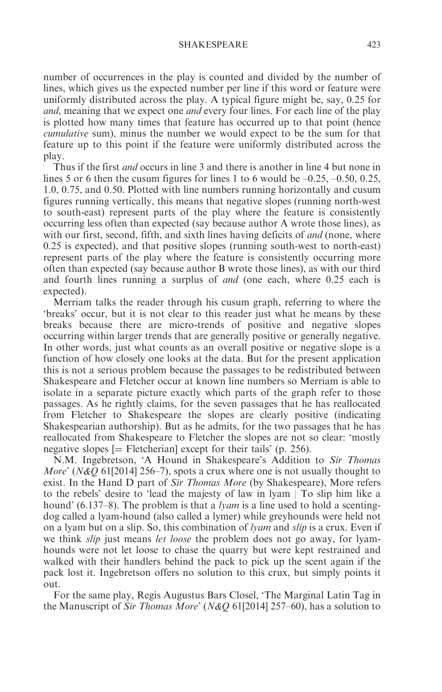number of occurrences in the play is counted and divided by the number of lines, which gives us the expected number per line if this word or feature were uniformly distributed across the play. A typical figure might be, say, 0.25 for and, meaning that we expect one and every four lines. For each line of the play is plotted how many times that feature has occurred up to that point (hence cumulative sum), minus the number we would expect to be the sum for that feature up to this point if the feature were uniformly distributed across the play.

Thus if the first *and* occurs in line 3 and there is another in line 4 but none in lines 5 or 6 then the cusum figures for lines 1 to 6 would be  $-0.25, -0.50, 0.25$ . 1.0, 0.75, and 0.50. Plotted with line numbers running horizontally and cusum figures running vertically, this means that negative slopes (running north-west to south-east) represent parts of the play where the feature is consistently occurring less often than expected (say because author A wrote those lines), as with our first, second, fifth, and sixth lines having deficits of *and* (none, where 0.25 is expected), and that positive slopes (running south-west to north-east) represent parts of the play where the feature is consistently occurring more often than expected (say because author B wrote those lines), as with our third and fourth lines running a surplus of and (one each, where 0.25 each is expected).

Merriam talks the reader through his cusum graph, referring to where the 'breaks' occur, but it is not clear to this reader just what he means by these breaks because there are micro-trends of positive and negative slopes occurring within larger trends that are generally positive or generally negative. In other words, just what counts as an overall positive or negative slope is a function of how closely one looks at the data. But for the present application this is not a serious problem because the passages to be redistributed between Shakespeare and Fletcher occur at known line numbers so Merriam is able to isolate in a separate picture exactly which parts of the graph refer to those passages. As he rightly claims, for the seven passages that he has reallocated from Fletcher to Shakespeare the slopes are clearly positive (indicating Shakespearian authorship). But as he admits, for the two passages that he has reallocated from Shakespeare to Fletcher the slopes are not so clear: 'mostly negative slopes  $[|=$  Fletcherian] except for their tails' (p. 256).

N.M. Ingebretson, 'A Hound in Shakespeare's Addition to Sir Thomas *More'* ( $N&O$  61[2014] 256–7), spots a crux where one is not usually thought to exist. In the Hand D part of Sir Thomas More (by Shakespeare), More refers to the rebels' desire to 'lead the majesty of law in lyam | To slip him like a hound' (6.137–8). The problem is that a *lyam* is a line used to hold a scentingdog called a lyam-hound (also called a lymer) while greyhounds were held not on a lyam but on a slip. So, this combination of *lyam* and *slip* is a crux. Even if we think *slip* just means *let loose* the problem does not go away, for lyamhounds were not let loose to chase the quarry but were kept restrained and walked with their handlers behind the pack to pick up the scent again if the pack lost it. Ingebretson offers no solution to this crux, but simply points it out.

For the same play, Regis Augustus Bars Closel, 'The Marginal Latin Tag in the Manuscript of Sir Thomas More' (N&Q 61[2014] 257–60), has a solution to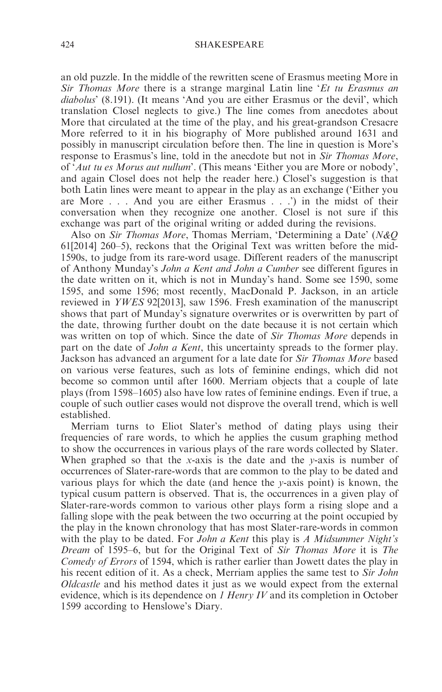an old puzzle. In the middle of the rewritten scene of Erasmus meeting More in Sir Thomas More there is a strange marginal Latin line  $E_t$  tu Erasmus an diabolus' (8.191). (It means 'And you are either Erasmus or the devil', which translation Closel neglects to give.) The line comes from anecdotes about More that circulated at the time of the play, and his great-grandson Cresacre More referred to it in his biography of More published around 1631 and possibly in manuscript circulation before then. The line in question is More's response to Erasmus's line, told in the anecdote but not in Sir Thomas More, of 'Aut tu es Morus aut nullum'. (This means 'Either you are More or nobody', and again Closel does not help the reader here.) Closel's suggestion is that both Latin lines were meant to appear in the play as an exchange ('Either you are More . . . And you are either Erasmus . . .') in the midst of their conversation when they recognize one another. Closel is not sure if this exchange was part of the original writing or added during the revisions.

Also on Sir Thomas More, Thomas Merriam, 'Determining a Date' (N&O) 61[2014] 260–5), reckons that the Original Text was written before the mid-1590s, to judge from its rare-word usage. Different readers of the manuscript of Anthony Munday's John a Kent and John a Cumber see different figures in the date written on it, which is not in Munday's hand. Some see 1590, some 1595, and some 1596; most recently, MacDonald P. Jackson, in an article reviewed in YWES 92[2013], saw 1596. Fresh examination of the manuscript shows that part of Munday's signature overwrites or is overwritten by part of the date, throwing further doubt on the date because it is not certain which was written on top of which. Since the date of Sir Thomas More depends in part on the date of *John a Kent*, this uncertainty spreads to the former play. Jackson has advanced an argument for a late date for Sir Thomas More based on various verse features, such as lots of feminine endings, which did not become so common until after 1600. Merriam objects that a couple of late plays (from 1598–1605) also have low rates of feminine endings. Even if true, a couple of such outlier cases would not disprove the overall trend, which is well established.

Merriam turns to Eliot Slater's method of dating plays using their frequencies of rare words, to which he applies the cusum graphing method to show the occurrences in various plays of the rare words collected by Slater. When graphed so that the x-axis is the date and the  $y$ -axis is number of occurrences of Slater-rare-words that are common to the play to be dated and various plays for which the date (and hence the y-axis point) is known, the typical cusum pattern is observed. That is, the occurrences in a given play of Slater-rare-words common to various other plays form a rising slope and a falling slope with the peak between the two occurring at the point occupied by the play in the known chronology that has most Slater-rare-words in common with the play to be dated. For *John a Kent* this play is  $\Lambda$  Midsummer Night's Dream of 1595–6, but for the Original Text of Sir Thomas More it is The Comedy of Errors of 1594, which is rather earlier than Jowett dates the play in his recent edition of it. As a check, Merriam applies the same test to Sir John Oldcastle and his method dates it just as we would expect from the external evidence, which is its dependence on 1 Henry IV and its completion in October 1599 according to Henslowe's Diary.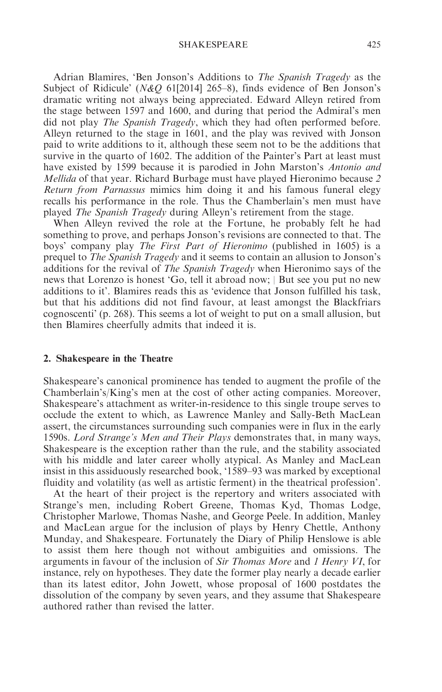Adrian Blamires, 'Ben Jonson's Additions to The Spanish Tragedy as the Subject of Ridicule' (N&Q 61[2014] 265–8), finds evidence of Ben Jonson's dramatic writing not always being appreciated. Edward Alleyn retired from the stage between 1597 and 1600, and during that period the Admiral's men did not play *The Spanish Tragedy*, which they had often performed before. Alleyn returned to the stage in 1601, and the play was revived with Jonson paid to write additions to it, although these seem not to be the additions that survive in the quarto of 1602. The addition of the Painter's Part at least must have existed by 1599 because it is parodied in John Marston's Antonio and Mellida of that year. Richard Burbage must have played Hieronimo because 2 Return from Parnassus mimics him doing it and his famous funeral elegy recalls his performance in the role. Thus the Chamberlain's men must have played The Spanish Tragedy during Alleyn's retirement from the stage.

When Alleyn revived the role at the Fortune, he probably felt he had something to prove, and perhaps Jonson's revisions are connected to that. The boys' company play The First Part of Hieronimo (published in 1605) is a prequel to The Spanish Tragedy and it seems to contain an allusion to Jonson's additions for the revival of The Spanish Tragedy when Hieronimo says of the news that Lorenzo is honest 'Go, tell it abroad now; | But see you put no new additions to it'. Blamires reads this as 'evidence that Jonson fulfilled his task, but that his additions did not find favour, at least amongst the Blackfriars cognoscenti' (p. 268). This seems a lot of weight to put on a small allusion, but then Blamires cheerfully admits that indeed it is.

#### 2. Shakespeare in the Theatre

Shakespeare's canonical prominence has tended to augment the profile of the Chamberlain's/King's men at the cost of other acting companies. Moreover, Shakespeare's attachment as writer-in-residence to this single troupe serves to occlude the extent to which, as Lawrence Manley and Sally-Beth MacLean assert, the circumstances surrounding such companies were in flux in the early 1590s. Lord Strange's Men and Their Plays demonstrates that, in many ways, Shakespeare is the exception rather than the rule, and the stability associated with his middle and later career wholly atypical. As Manley and MacLean insist in this assiduously researched book, '1589–93 was marked by exceptional fluidity and volatility (as well as artistic ferment) in the theatrical profession'.

At the heart of their project is the repertory and writers associated with Strange's men, including Robert Greene, Thomas Kyd, Thomas Lodge, Christopher Marlowe, Thomas Nashe, and George Peele. In addition, Manley and MacLean argue for the inclusion of plays by Henry Chettle, Anthony Munday, and Shakespeare. Fortunately the Diary of Philip Henslowe is able to assist them here though not without ambiguities and omissions. The arguments in favour of the inclusion of Sir Thomas More and 1 Henry VI, for instance, rely on hypotheses. They date the former play nearly a decade earlier than its latest editor, John Jowett, whose proposal of 1600 postdates the dissolution of the company by seven years, and they assume that Shakespeare authored rather than revised the latter.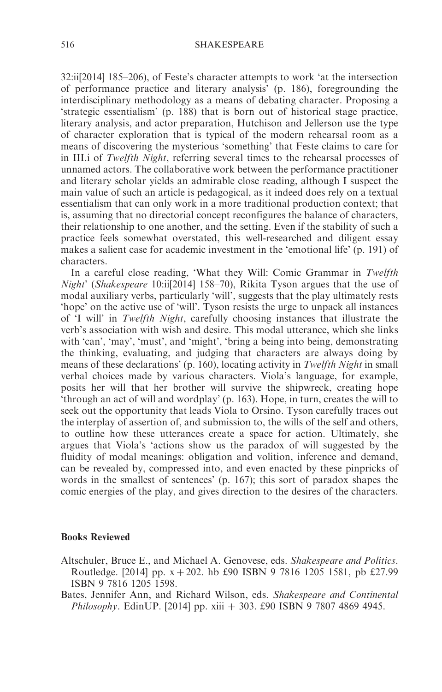32:ii[2014] 185–206), of Feste's character attempts to work 'at the intersection of performance practice and literary analysis' (p. 186), foregrounding the interdisciplinary methodology as a means of debating character. Proposing a 'strategic essentialism' (p. 188) that is born out of historical stage practice, literary analysis, and actor preparation, Hutchison and Jellerson use the type of character exploration that is typical of the modern rehearsal room as a means of discovering the mysterious 'something' that Feste claims to care for in III.i of Twelfth Night, referring several times to the rehearsal processes of unnamed actors. The collaborative work between the performance practitioner and literary scholar yields an admirable close reading, although I suspect the main value of such an article is pedagogical, as it indeed does rely on a textual essentialism that can only work in a more traditional production context; that is, assuming that no directorial concept reconfigures the balance of characters, their relationship to one another, and the setting. Even if the stability of such a practice feels somewhat overstated, this well-researched and diligent essay makes a salient case for academic investment in the 'emotional life' (p. 191) of characters.

In a careful close reading, 'What they Will: Comic Grammar in Twelfth Night' (Shakespeare 10:ii[2014] 158–70), Rikita Tyson argues that the use of modal auxiliary verbs, particularly 'will', suggests that the play ultimately rests 'hope' on the active use of 'will'. Tyson resists the urge to unpack all instances of 'I will' in Twelfth Night, carefully choosing instances that illustrate the verb's association with wish and desire. This modal utterance, which she links with 'can', 'may', 'must', and 'might', 'bring a being into being, demonstrating the thinking, evaluating, and judging that characters are always doing by means of these declarations' (p. 160), locating activity in Twelfth Night in small verbal choices made by various characters. Viola's language, for example, posits her will that her brother will survive the shipwreck, creating hope 'through an act of will and wordplay' (p. 163). Hope, in turn, creates the will to seek out the opportunity that leads Viola to Orsino. Tyson carefully traces out the interplay of assertion of, and submission to, the wills of the self and others, to outline how these utterances create a space for action. Ultimately, she argues that Viola's 'actions show us the paradox of will suggested by the fluidity of modal meanings: obligation and volition, inference and demand, can be revealed by, compressed into, and even enacted by these pinpricks of words in the smallest of sentences' (p. 167); this sort of paradox shapes the comic energies of the play, and gives direction to the desires of the characters.

#### Books Reviewed

- Altschuler, Bruce E., and Michael A. Genovese, eds. Shakespeare and Politics. Routledge. [2014] pp.  $x + 202$ . hb £90 ISBN 9 7816 1205 1581, pb £27.99 ISBN 9 7816 1205 1598.
- Bates, Jennifer Ann, and Richard Wilson, eds. Shakespeare and Continental Philosophy. EdinUP. [2014] pp. xiii  $+303.$  £90 ISBN 9 7807 4869 4945.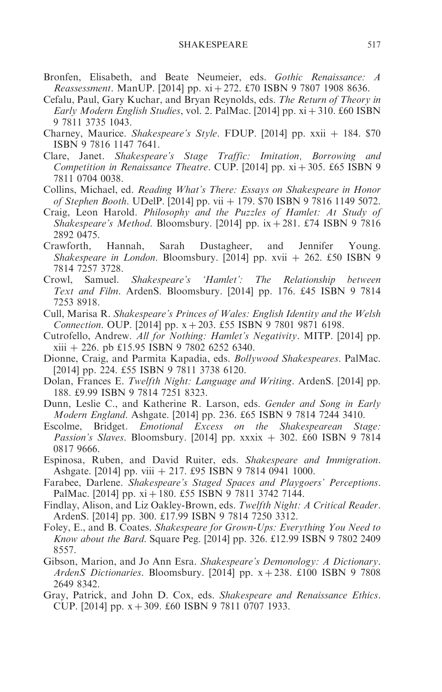- Bronfen, Elisabeth, and Beate Neumeier, eds. Gothic Renaissance: A *Reassessment.* ManUP. [2014] pp.  $xi + 272$ . £70 ISBN 9 7807 1908 8636.
- Cefalu, Paul, Gary Kuchar, and Bryan Reynolds, eds. The Return of Theory in Early Modern English Studies, vol. 2. PalMac. [2014] pp.  $xi + 310$ . £60 ISBN 9 7811 3735 1043.
- Charney, Maurice. Shakespeare's Style. FDUP. [2014] pp. xxii + 184.  $$70$ ISBN 9 7816 1147 7641.
- Clare, Janet. Shakespeare's Stage Traffic: Imitation, Borrowing and Competition in Renaissance Theatre. CUP. [2014] pp.  $xi + 305$ . £65 ISBN 9 7811 0704 0038.
- Collins, Michael, ed. Reading What's There: Essays on Shakespeare in Honor of Stephen Booth. UDelP. [2014] pp. vii + 179. \$70 ISBN 9 7816 1149 5072.
- Craig, Leon Harold. Philosophy and the Puzzles of Hamlet: At Study of Shakespeare's Method. Bloomsbury. [2014] pp. ix  $+$  281. £74 ISBN 9 7816 2892 0475.<br>Crawforth
- Hannah, Sarah Dustagheer, and Jennifer Young. Shakespeare in London. Bloomsbury. [2014] pp. xvii  $+$  262. £50 ISBN 9 7814 7257 3728.
- Crowl, Samuel. Shakespeare's 'Hamlet': The Relationship between Text and Film. ArdenS. Bloomsbury. [2014] pp. 176. £45 ISBN 9 7814 7253 8918.
- Cull, Marisa R. Shakespeare's Princes of Wales: English Identity and the Welsh Connection. OUP. [2014] pp. x + 203. £55 ISBN 9 7801 9871 6198.
- Cutrofello, Andrew. All for Nothing: Hamlet's Negativity. MITP. [2014] pp.  $xiii + 226$ . pb £15.95 ISBN 9 7802 6252 6340.
- Dionne, Craig, and Parmita Kapadia, eds. Bollywood Shakespeares. PalMac. [2014] pp. 224. £55 ISBN 9 7811 3738 6120.
- Dolan, Frances E. Twelfth Night: Language and Writing. ArdenS. [2014] pp. 188. £9.99 ISBN 9 7814 7251 8323.
- Dunn, Leslie C., and Katherine R. Larson, eds. Gender and Song in Early Modern England. Ashgate. [2014] pp. 236. £65 ISBN 9 7814 7244 3410.
- Escolme, Bridget. Emotional Excess on the Shakespearean Stage: Passion's Slaves. Bloomsbury. [2014] pp. xxxix  $+$  302. £60 ISBN 9 7814 0817 9666.
- Espinosa, Ruben, and David Ruiter, eds. Shakespeare and Immigration. Ashgate. [2014] pp. viii  $+$  217. £95 ISBN 9 7814 0941 1000.
- Farabee, Darlene. Shakespeare's Staged Spaces and Playgoers' Perceptions. PalMac. [2014] pp.  $xi + 180$ . £55 ISBN 9 7811 3742 7144.
- Findlay, Alison, and Liz Oakley-Brown, eds. Twelfth Night: A Critical Reader. ArdenS. [2014] pp. 300. £17.99 ISBN 9 7814 7250 3312.
- Foley, E., and B. Coates. Shakespeare for Grown-Ups: Everything You Need to Know about the Bard. Square Peg. [2014] pp. 326. £12.99 ISBN 9 7802 2409 8557.
- Gibson, Marion, and Jo Ann Esra. Shakespeare's Demonology: A Dictionary. ArdenS Dictionaries. Bloomsbury. [2014] pp.  $x + 238$ . £100 ISBN 9 7808 2649 8342.
- Gray, Patrick, and John D. Cox, eds. Shakespeare and Renaissance Ethics. CUP. [2014] pp.  $x + 309$ . £60 ISBN 9 7811 0707 1933.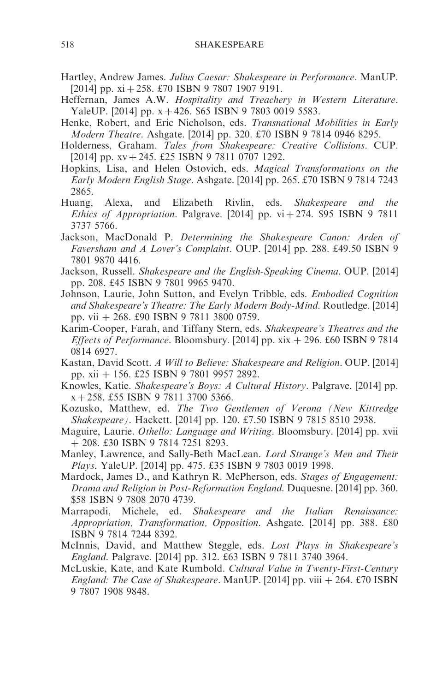- Hartley, Andrew James. Julius Caesar: Shakespeare in Performance. ManUP. [2014] pp.  $xi + 258$ . £70 ISBN 9 7807 1907 9191.
- Heffernan, James A.W. Hospitality and Treachery in Western Literature. YaleUP. [2014] pp.  $x + 426$ . \$65 ISBN 9 7803 0019 5583.
- Henke, Robert, and Eric Nicholson, eds. Transnational Mobilities in Early Modern Theatre. Ashgate. [2014] pp. 320. £70 ISBN 9 7814 0946 8295.
- Holderness, Graham. Tales from Shakespeare: Creative Collisions. CUP. [2014] pp.  $xy + 245$ . £25 ISBN 9 7811 0707 1292.
- Hopkins, Lisa, and Helen Ostovich, eds. Magical Transformations on the Early Modern English Stage. Ashgate. [2014] pp. 265. £70 ISBN 9 7814 7243 2865.
- Huang, Alexa, and Elizabeth Rivlin, eds. Shakespeare and the *Ethics of Appropriation.* Palgrave. [2014] pp.  $vi + 274$ . \$95 ISBN 9 7811 3737 5766.
- Jackson, MacDonald P. Determining the Shakespeare Canon: Arden of Faversham and A Lover's Complaint. OUP. [2014] pp. 288. £49.50 ISBN 9 7801 9870 4416.
- Jackson, Russell. Shakespeare and the English-Speaking Cinema. OUP. [2014] pp. 208. £45 ISBN 9 7801 9965 9470.
- Johnson, Laurie, John Sutton, and Evelyn Tribble, eds. Embodied Cognition and Shakespeare's Theatre: The Early Modern Body-Mind. Routledge. [2014] pp. vii  $+268. \pounds 90$  ISBN 9 7811 3800 0759.
- Karim-Cooper, Farah, and Tiffany Stern, eds. Shakespeare's Theatres and the Effects of Performance. Bloomsbury. [2014] pp.  $xix + 296$ . £60 ISBN 9 7814 0814 6927.
- Kastan, David Scott. A Will to Believe: Shakespeare and Religion. OUP. [2014] pp. xii þ 156. £25 ISBN 9 7801 9957 2892.
- Knowles, Katie. Shakespeare's Boys: A Cultural History. Palgrave. [2014] pp.  $x + 258$ . £55 ISBN 9 7811 3700 5366.
- Kozusko, Matthew, ed. The Two Gentlemen of Verona (New Kittredge Shakespeare). Hackett. [2014] pp. 120. £7.50 ISBN 9 7815 8510 2938.
- Maguire, Laurie. *Othello: Language and Writing*. Bloomsbury. [2014] pp. xvii þ 208. £30 ISBN 9 7814 7251 8293.
- Manley, Lawrence, and Sally-Beth MacLean. Lord Strange's Men and Their Plays. YaleUP. [2014] pp. 475. £35 ISBN 9 7803 0019 1998.
- Mardock, James D., and Kathryn R. McPherson, eds. Stages of Engagement: Drama and Religion in Post-Reformation England. Duquesne. [2014] pp. 360. \$58 ISBN 9 7808 2070 4739.
- Marrapodi, Michele, ed. Shakespeare and the Italian Renaissance: Appropriation, Transformation, Opposition. Ashgate. [2014] pp. 388. £80 ISBN 9 7814 7244 8392.
- McInnis, David, and Matthew Steggle, eds. Lost Plays in Shakespeare's England. Palgrave. [2014] pp. 312. £63 ISBN 9 7811 3740 3964.
- McLuskie, Kate, and Kate Rumbold. Cultural Value in Twenty-First-Century England: The Case of Shakespeare. ManUP. [2014] pp. viii  $+$  264. £70 ISBN 9 7807 1908 9848.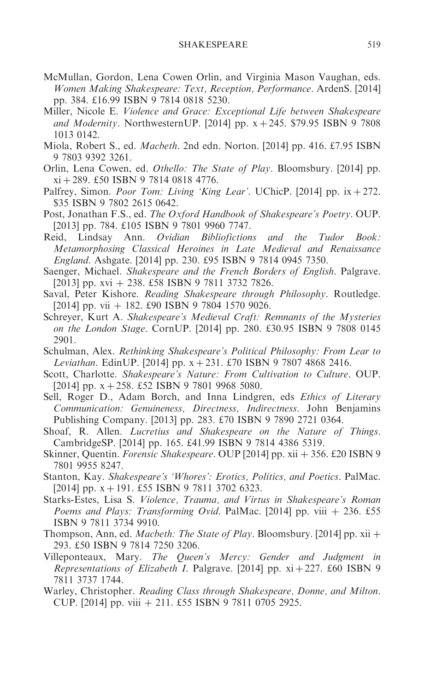- McMullan, Gordon, Lena Cowen Orlin, and Virginia Mason Vaughan, eds. Women Making Shakespeare: Text, Reception, Performance. ArdenS. [2014] pp. 384. £16.99 ISBN 9 7814 0818 5230.
- Miller, Nicole E. Violence and Grace: Exceptional Life between Shakespeare and Modernity. NorthwesternUP. [2014] pp.  $x + 245$ . \$79.95 ISBN 9 7808 1013 0142.
- Miola, Robert S., ed. Macbeth. 2nd edn. Norton. [2014] pp. 416. £7.95 ISBN 9 7803 9392 3261.
- Orlin, Lena Cowen, ed. Othello: The State of Play. Bloomsbury. [2014] pp.  $xi + 289.$  £50 ISBN 9 7814 0818 4776.
- Palfrey, Simon. *Poor Tom: Living 'King Lear'.* UChicP. [2014] pp.  $ix + 272$ . \$35 ISBN 9 7802 2615 0642.
- Post, Jonathan F.S., ed. The Oxford Handbook of Shakespeare's Poetry. OUP. [2013] pp. 784. £105 ISBN 9 7801 9960 7747.
- Reid, Lindsay Ann. Ovidian Bibliofictions and the Tudor Book: Metamorphosing Classical Heroines in Late Medieval and Renaissance England. Ashgate. [2014] pp. 230. £95 ISBN 9 7814 0945 7350.
- Saenger, Michael. Shakespeare and the French Borders of English. Palgrave. [2013] pp. xvi + 238. £58 ISBN 9 7811 3732 7826.
- Saval, Peter Kishore. Reading Shakespeare through Philosophy. Routledge. [2014] pp. vii  $+$  182. £90 ISBN 9 7804 1570 9026.
- Schreyer, Kurt A. Shakespeare's Medieval Craft: Remnants of the Mysteries on the London Stage. CornUP. [2014] pp. 280. £30.95 ISBN 9 7808 0145 2901.
- Schulman, Alex. Rethinking Shakespeare's Political Philosophy: From Lear to *Leviathan.* EdinUP. [2014] pp.  $x + 231$ . £70 ISBN 9 7807 4868 2416.
- Scott, Charlotte. Shakespeare's Nature: From Cultivation to Culture. OUP. [2014] pp.  $x + 258$ . £52 ISBN 9 7801 9968 5080.
- Sell, Roger D., Adam Borch, and Inna Lindgren, eds Ethics of Literary Communication: Genuineness, Directness, Indirectness. John Benjamins Publishing Company. [2013] pp. 283. £70 ISBN 9 7890 2721 0364.
- Shoaf, R. Allen. Lucretius and Shakespeare on the Nature of Things. CambridgeSP. [2014] pp. 165. £41.99 ISBN 9 7814 4386 5319.
- Skinner, Quentin. Forensic Shakespeare. OUP [2014] pp.  $xii + 356$ . £20 ISBN 9 7801 9955 8247.
- Stanton, Kay. Shakespeare's 'Whores': Erotics, Politics, and Poetics. PalMac. [2014] pp.  $x + 191$ . £55 ISBN 9 7811 3702 6323.
- Starks-Estes, Lisa S. Violence, Trauma, and Virtus in Shakespeare's Roman Poems and Plays: Transforming Ovid. PalMac. [2014] pp. viii  $+$  236. £55 ISBN 9 7811 3734 9910.
- Thompson, Ann, ed. *Macbeth: The State of Play*. Bloomsbury. [2014] pp. xii + 293. £50 ISBN 9 7814 7250 3206.
- Villeponteaux, Mary. The Queen's Mercy: Gender and Judgment in Representations of Elizabeth I. Palgrave. [2014] pp.  $xi + 227$ . £60 ISBN 9 7811 3737 1744.
- Warley, Christopher. Reading Class through Shakespeare, Donne, and Milton. CUP. [2014] pp. viii  $+$  211. £55 ISBN 9 7811 0705 2925.